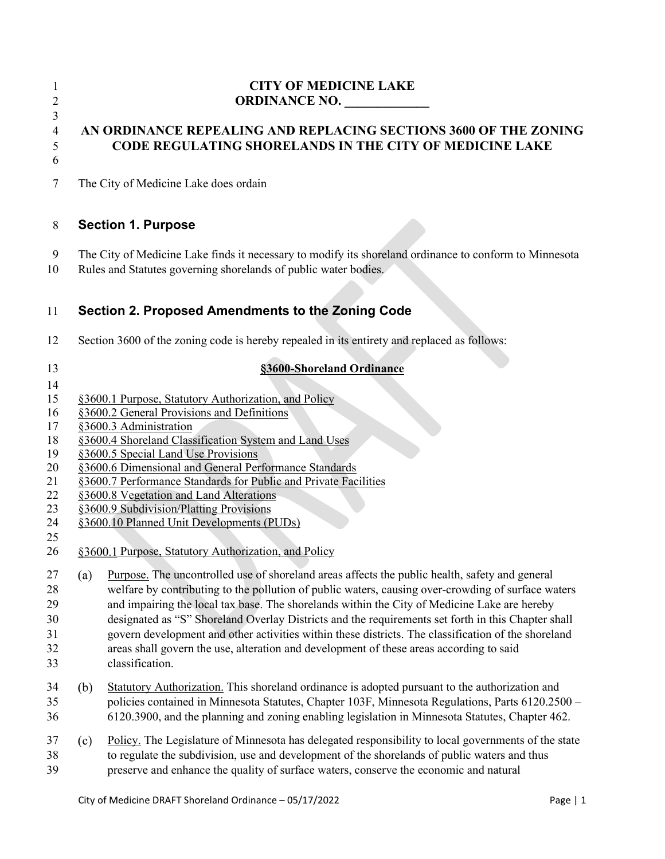#### **CITY OF MEDICINE LAKE ORDINANCE NO.**

# 

# 

# **AN ORDINANCE REPEALING AND REPLACING SECTIONS 3600 OF THE ZONING CODE REGULATING SHORELANDS IN THE CITY OF MEDICINE LAKE**

The City of Medicine Lake does ordain

### **Section 1. Purpose**

- The City of Medicine Lake finds it necessary to modify its shoreland ordinance to conform to Minnesota
- Rules and Statutes governing shorelands of public water bodies.

# **Section 2. Proposed Amendments to the Zoning Code**

- Section 3600 of the zoning code is hereby repealed in its entirety and replaced as follows:
- 

#### **§3600-Shoreland Ordinance**

- [§3600.1](#page-0-0) Purpose, Statutory Authorization, and Policy
- [§3600.2](#page-1-0) General Provisions and Definitions
- [§3600.3](#page-4-0) Administration
- [§3600.4](#page-6-0) Shoreland Classification System and Land Uses
- §3600.5 Special Land Use Provisions
- [§3600.6](#page-8-0) Dimensional and General Performance Standards
- [§3600.7](#page-10-0) Performance Standards for Public and Private Facilities
- [§3600.8](#page-10-1) Vegetation and Land Alterations
- [§3600.9](#page-14-0) Subdivision/Platting Provisions
- [§3600.10](#page-15-0) Planned Unit Developments (PUDs)
- 
- <span id="page-0-0"></span>26 §3600.1 Purpose, Statutory Authorization, and Policy

27 (a) Purpose. The uncontrolled use of shoreland areas affects the public health, safety and general welfare by contributing to the pollution of public waters, causing over-crowding of surface waters and impairing the local tax base. The shorelands within the [City of Medicine Lake](http://www.cityofmedicinelake.com/) are hereby designated as "S" Shoreland Overlay Districts and the requirements set forth in this Chapter shall govern development and other activities within these districts. The classification of the shoreland

- areas shall govern the use, alteration and development of these areas according to said classification.
- Statutory Authorization. This shoreland ordinance is adopted pursuant to the authorization and policies contained in [Minnesota Statutes, Chapter 103F,](https://www.revisor.mn.gov/statutes/cite/103F) [Minnesota Regulations, Parts 6120.2500 –](https://www.revisor.mn.gov/rules/6120/) [6120.3900,](https://www.revisor.mn.gov/rules/6120/) and the planning and zoning enabling legislation in [Minnesota Statutes, Chapter 462.](https://www.revisor.mn.gov/statutes/cite/462)
- 37 (c) Policy. The [Legislature of Minnesota](https://www.leg.state.mn.us/) has delegated responsibility to local governments of the state to regulate the subdivision, use and development of the shorelands of public waters and thus preserve and enhance the quality of surface waters, conserve the economic and natural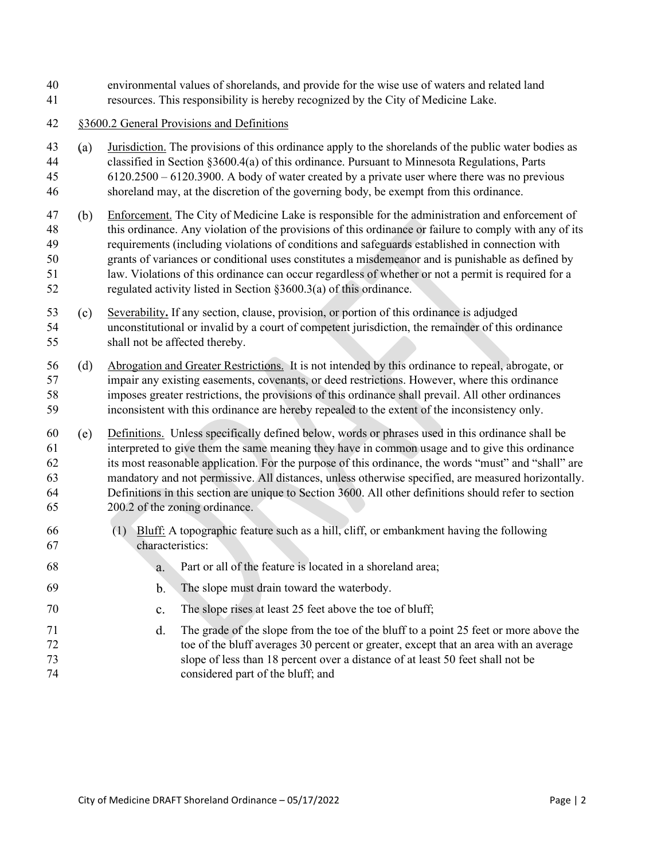- environmental values of shorelands, and provide for the wise use of waters and related land
- resources. This responsibility is hereby recognized by the City of Medicine Lake.
- <span id="page-1-0"></span>§3600.2 General Provisions and Definitions
- Jurisdiction. The provisions of this ordinance apply to the shorelands of the public water bodies as classified in Section §3600.[4\(a\)](#page-6-1) of this ordinance. Pursuant to [Minnesota Regulations, Parts](https://www.revisor.mn.gov/rules/?id=6120)  6120.2500 – [6120.3900.](https://www.revisor.mn.gov/rules/?id=6120) A body of water created by a private user where there was no previous shoreland may, at the discretion of the governing body, be exempt from this ordinance.
- <span id="page-1-1"></span> Enforcement. The City of Medicine Lake is responsible for the administration and enforcement of this ordinance. Any violation of the provisions of this ordinance or failure to comply with any of its requirements (including violations of conditions and safeguards established in connection with grants of variances or conditional uses constitutes a misdemeanor and is punishable as defined by law. Violations of this ordinance can occur regardless of whether or not a permit is required for a regulated activity listed in Section §3600.[3\(a\)](#page-4-1) of this ordinance.
- Severability**.** If any section, clause, provision, or portion of this ordinance is adjudged unconstitutional or invalid by a court of competent jurisdiction, the remainder of this ordinance shall not be affected thereby.
- Abrogation and Greater Restrictions.It is not intended by this ordinance to repeal, abrogate, or impair any existing easements, covenants, or deed restrictions. However, where this ordinance imposes greater restrictions, the provisions of this ordinance shall prevail. All other ordinances inconsistent with this ordinance are hereby repealed to the extent of the inconsistency only.
- Definitions. Unless specifically defined below, words or phrases used in this ordinance shall be interpreted to give them the same meaning they have in common usage and to give this ordinance its most reasonable application. For the purpose of this ordinance, the words "must" and "shall" are mandatory and not permissive. All distances, unless otherwise specified, are measured horizontally. Definitions in this section are unique to Section 3600. All other definitions should refer to section 200.2 of the zoning ordinance.
- (1) Bluff: A topographic feature such as a hill, cliff, or embankment having the following characteristics:
- Part or all of the feature is located in a shoreland area;
- The slope must drain toward the waterbody.
- The slope rises at least 25 feet above the toe of bluff;
- The grade of the slope from the toe of the bluff to a point 25 feet or more above the toe of the bluff averages 30 percent or greater, except that an area with an average slope of less than 18 percent over a distance of at least 50 feet shall not be considered part of the bluff; and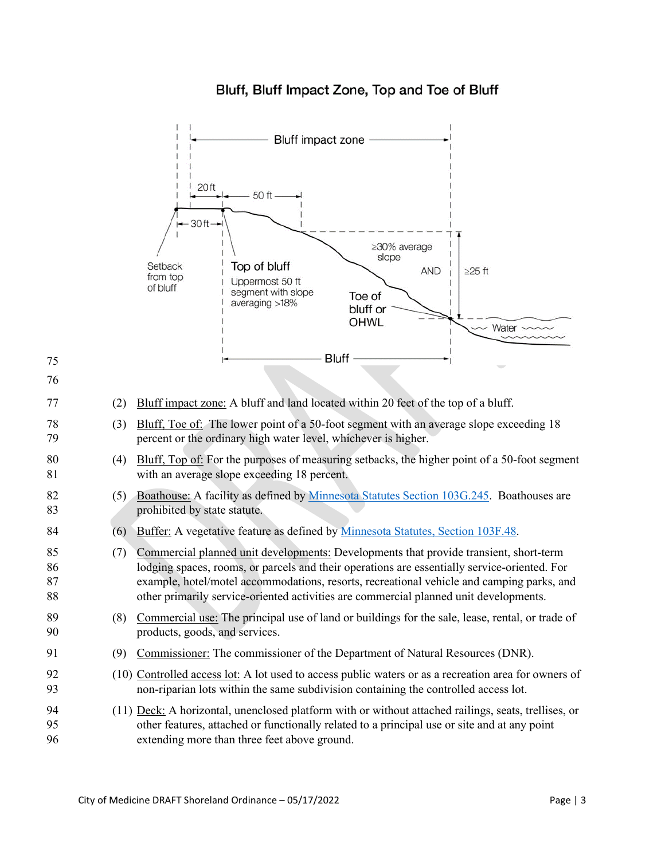

# Bluff, Bluff Impact Zone, Top and Toe of Bluff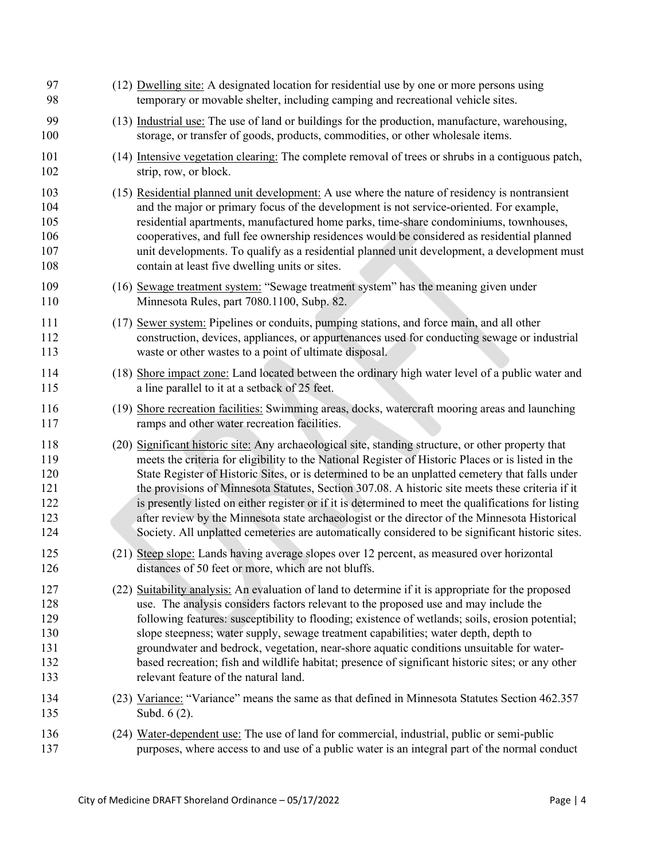<span id="page-3-0"></span>

| 97<br>98                                      | (12) Dwelling site: A designated location for residential use by one or more persons using<br>temporary or movable shelter, including camping and recreational vehicle sites.                                                                                                                                                                                                                                                                                                                                                                                                                                                                                                                                                 |
|-----------------------------------------------|-------------------------------------------------------------------------------------------------------------------------------------------------------------------------------------------------------------------------------------------------------------------------------------------------------------------------------------------------------------------------------------------------------------------------------------------------------------------------------------------------------------------------------------------------------------------------------------------------------------------------------------------------------------------------------------------------------------------------------|
| 99<br>100                                     | (13) Industrial use: The use of land or buildings for the production, manufacture, warehousing,<br>storage, or transfer of goods, products, commodities, or other wholesale items.                                                                                                                                                                                                                                                                                                                                                                                                                                                                                                                                            |
| 101<br>102                                    | (14) Intensive vegetation clearing: The complete removal of trees or shrubs in a contiguous patch,<br>strip, row, or block.                                                                                                                                                                                                                                                                                                                                                                                                                                                                                                                                                                                                   |
| 103<br>104<br>105<br>106<br>107<br>108        | (15) Residential planned unit development: A use where the nature of residency is nontransient<br>and the major or primary focus of the development is not service-oriented. For example,<br>residential apartments, manufactured home parks, time-share condominiums, townhouses,<br>cooperatives, and full fee ownership residences would be considered as residential planned<br>unit developments. To qualify as a residential planned unit development, a development must<br>contain at least five dwelling units or sites.                                                                                                                                                                                             |
| 109<br>110                                    | (16) Sewage treatment system: "Sewage treatment system" has the meaning given under<br>Minnesota Rules, part 7080.1100, Subp. 82.                                                                                                                                                                                                                                                                                                                                                                                                                                                                                                                                                                                             |
| 111<br>112<br>113                             | (17) Sewer system: Pipelines or conduits, pumping stations, and force main, and all other<br>construction, devices, appliances, or appurtenances used for conducting sewage or industrial<br>waste or other wastes to a point of ultimate disposal.                                                                                                                                                                                                                                                                                                                                                                                                                                                                           |
| 114<br>115                                    | (18) Shore impact zone: Land located between the ordinary high water level of a public water and<br>a line parallel to it at a setback of 25 feet.                                                                                                                                                                                                                                                                                                                                                                                                                                                                                                                                                                            |
| 116<br>117                                    | (19) Shore recreation facilities: Swimming areas, docks, watercraft mooring areas and launching<br>ramps and other water recreation facilities.                                                                                                                                                                                                                                                                                                                                                                                                                                                                                                                                                                               |
| 118<br>119<br>120<br>121<br>122<br>123<br>124 | (20) Significant historic site: Any archaeological site, standing structure, or other property that<br>meets the criteria for eligibility to the National Register of Historic Places or is listed in the<br>State Register of Historic Sites, or is determined to be an unplatted cemetery that falls under<br>the provisions of Minnesota Statutes, Section 307.08. A historic site meets these criteria if it<br>is presently listed on either register or if it is determined to meet the qualifications for listing<br>after review by the Minnesota state archaeologist or the director of the Minnesota Historical<br>Society. All unplatted cemeteries are automatically considered to be significant historic sites. |
| 125<br>126                                    | (21) Steep slope: Lands having average slopes over 12 percent, as measured over horizontal<br>distances of 50 feet or more, which are not bluffs.                                                                                                                                                                                                                                                                                                                                                                                                                                                                                                                                                                             |
| 127<br>128<br>129<br>130<br>131<br>132<br>133 | (22) Suitability analysis: An evaluation of land to determine if it is appropriate for the proposed<br>use. The analysis considers factors relevant to the proposed use and may include the<br>following features: susceptibility to flooding; existence of wetlands; soils, erosion potential;<br>slope steepness; water supply, sewage treatment capabilities; water depth, depth to<br>groundwater and bedrock, vegetation, near-shore aquatic conditions unsuitable for water-<br>based recreation; fish and wildlife habitat; presence of significant historic sites; or any other<br>relevant feature of the natural land.                                                                                              |
| 134<br>135                                    | (23) Variance: "Variance" means the same as that defined in Minnesota Statutes Section 462.357<br>Subd. 6 (2).                                                                                                                                                                                                                                                                                                                                                                                                                                                                                                                                                                                                                |
| 136<br>137                                    | (24) Water-dependent use: The use of land for commercial, industrial, public or semi-public<br>purposes, where access to and use of a public water is an integral part of the normal conduct                                                                                                                                                                                                                                                                                                                                                                                                                                                                                                                                  |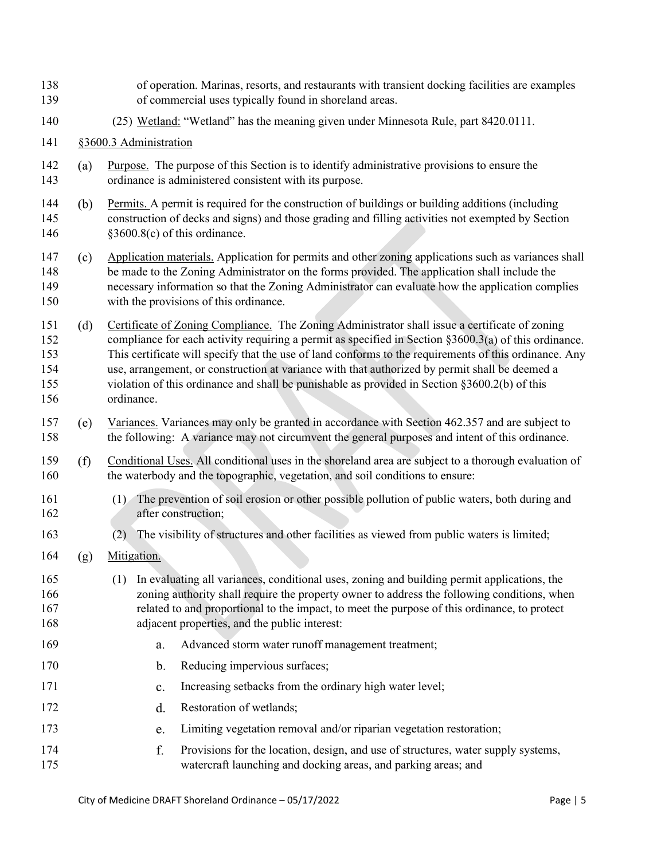<span id="page-4-2"></span><span id="page-4-1"></span><span id="page-4-0"></span>

| 138<br>139                             |     | of operation. Marinas, resorts, and restaurants with transient docking facilities are examples<br>of commercial uses typically found in shoreland areas.                                                                                                                                                                                                                                                                                                                                                                               |
|----------------------------------------|-----|----------------------------------------------------------------------------------------------------------------------------------------------------------------------------------------------------------------------------------------------------------------------------------------------------------------------------------------------------------------------------------------------------------------------------------------------------------------------------------------------------------------------------------------|
| 140                                    |     | (25) Wetland: "Wetland" has the meaning given under Minnesota Rule, part 8420.0111.                                                                                                                                                                                                                                                                                                                                                                                                                                                    |
| 141                                    |     | §3600.3 Administration                                                                                                                                                                                                                                                                                                                                                                                                                                                                                                                 |
| 142<br>143                             | (a) | Purpose. The purpose of this Section is to identify administrative provisions to ensure the<br>ordinance is administered consistent with its purpose.                                                                                                                                                                                                                                                                                                                                                                                  |
| 144<br>145<br>146                      | (b) | Permits. A permit is required for the construction of buildings or building additions (including<br>construction of decks and signs) and those grading and filling activities not exempted by Section<br>§3600.8(c) of this ordinance.                                                                                                                                                                                                                                                                                                 |
| 147<br>148<br>149<br>150               | (c) | Application materials. Application for permits and other zoning applications such as variances shall<br>be made to the Zoning Administrator on the forms provided. The application shall include the<br>necessary information so that the Zoning Administrator can evaluate how the application complies<br>with the provisions of this ordinance.                                                                                                                                                                                     |
| 151<br>152<br>153<br>154<br>155<br>156 | (d) | Certificate of Zoning Compliance. The Zoning Administrator shall issue a certificate of zoning<br>compliance for each activity requiring a permit as specified in Section $\S 3600.3(a)$ of this ordinance.<br>This certificate will specify that the use of land conforms to the requirements of this ordinance. Any<br>use, arrangement, or construction at variance with that authorized by permit shall be deemed a<br>violation of this ordinance and shall be punishable as provided in Section §3600.2(b) of this<br>ordinance. |
| 157<br>158                             | (e) | Variances. Variances may only be granted in accordance with Section 462.357 and are subject to<br>the following: A variance may not circumvent the general purposes and intent of this ordinance.                                                                                                                                                                                                                                                                                                                                      |
| 159<br>160                             | (f) | Conditional Uses. All conditional uses in the shoreland area are subject to a thorough evaluation of<br>the waterbody and the topographic, vegetation, and soil conditions to ensure:                                                                                                                                                                                                                                                                                                                                                  |
| 161<br>162                             |     | The prevention of soil erosion or other possible pollution of public waters, both during and<br>(1)<br>after construction;                                                                                                                                                                                                                                                                                                                                                                                                             |
| 163                                    |     | The visibility of structures and other facilities as viewed from public waters is limited;<br>(2)                                                                                                                                                                                                                                                                                                                                                                                                                                      |
| 164                                    | (g) | Mitigation.                                                                                                                                                                                                                                                                                                                                                                                                                                                                                                                            |
| 165<br>166<br>167<br>168               |     | In evaluating all variances, conditional uses, zoning and building permit applications, the<br>(1)<br>zoning authority shall require the property owner to address the following conditions, when<br>related to and proportional to the impact, to meet the purpose of this ordinance, to protect<br>adjacent properties, and the public interest:                                                                                                                                                                                     |
| 169                                    |     | Advanced storm water runoff management treatment;<br>a.                                                                                                                                                                                                                                                                                                                                                                                                                                                                                |
| 170                                    |     | Reducing impervious surfaces;<br>b.                                                                                                                                                                                                                                                                                                                                                                                                                                                                                                    |
| 171                                    |     | Increasing setbacks from the ordinary high water level;<br>c.                                                                                                                                                                                                                                                                                                                                                                                                                                                                          |
| 172                                    |     | Restoration of wetlands;<br>d.                                                                                                                                                                                                                                                                                                                                                                                                                                                                                                         |
| 173                                    |     | Limiting vegetation removal and/or riparian vegetation restoration;<br>e.                                                                                                                                                                                                                                                                                                                                                                                                                                                              |
| 174<br>175                             |     | f.<br>Provisions for the location, design, and use of structures, water supply systems,<br>watercraft launching and docking areas, and parking areas; and                                                                                                                                                                                                                                                                                                                                                                              |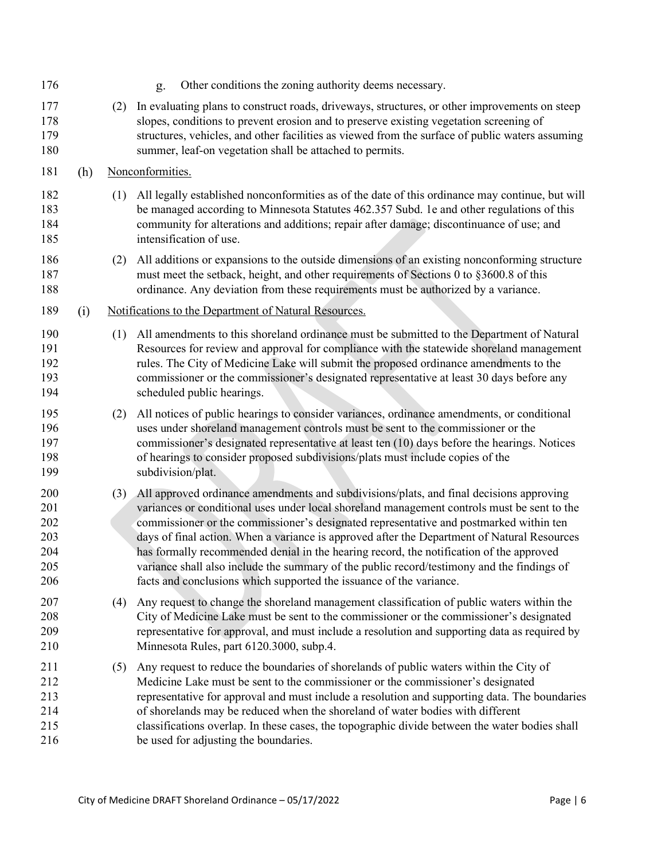| 176                                           |     |     | Other conditions the zoning authority deems necessary.<br>g.                                                                                                                                                                                                                                                                                                                                                                                                                                                                                                                                                                                        |
|-----------------------------------------------|-----|-----|-----------------------------------------------------------------------------------------------------------------------------------------------------------------------------------------------------------------------------------------------------------------------------------------------------------------------------------------------------------------------------------------------------------------------------------------------------------------------------------------------------------------------------------------------------------------------------------------------------------------------------------------------------|
| 177<br>178<br>179<br>180                      |     | (2) | In evaluating plans to construct roads, driveways, structures, or other improvements on steep<br>slopes, conditions to prevent erosion and to preserve existing vegetation screening of<br>structures, vehicles, and other facilities as viewed from the surface of public waters assuming<br>summer, leaf-on vegetation shall be attached to permits.                                                                                                                                                                                                                                                                                              |
| 181                                           | (h) |     | Nonconformities.                                                                                                                                                                                                                                                                                                                                                                                                                                                                                                                                                                                                                                    |
| 182<br>183<br>184<br>185                      |     | (1) | All legally established nonconformities as of the date of this ordinance may continue, but will<br>be managed according to Minnesota Statutes 462.357 Subd. 1e and other regulations of this<br>community for alterations and additions; repair after damage; discontinuance of use; and<br>intensification of use.                                                                                                                                                                                                                                                                                                                                 |
| 186<br>187<br>188                             |     | (2) | All additions or expansions to the outside dimensions of an existing nonconforming structure<br>must meet the setback, height, and other requirements of Sections 0 to §3600.8 of this<br>ordinance. Any deviation from these requirements must be authorized by a variance.                                                                                                                                                                                                                                                                                                                                                                        |
| 189                                           | (i) |     | Notifications to the Department of Natural Resources.                                                                                                                                                                                                                                                                                                                                                                                                                                                                                                                                                                                               |
| 190<br>191<br>192<br>193<br>194               |     | (1) | All amendments to this shoreland ordinance must be submitted to the Department of Natural<br>Resources for review and approval for compliance with the statewide shoreland management<br>rules. The City of Medicine Lake will submit the proposed ordinance amendments to the<br>commissioner or the commissioner's designated representative at least 30 days before any<br>scheduled public hearings.                                                                                                                                                                                                                                            |
| 195<br>196<br>197<br>198<br>199               |     | (2) | All notices of public hearings to consider variances, ordinance amendments, or conditional<br>uses under shoreland management controls must be sent to the commissioner or the<br>commissioner's designated representative at least ten (10) days before the hearings. Notices<br>of hearings to consider proposed subdivisions/plats must include copies of the<br>subdivision/plat.                                                                                                                                                                                                                                                               |
| 200<br>201<br>202<br>203<br>204<br>205<br>206 |     |     | (3) All approved ordinance amendments and subdivisions/plats, and final decisions approving<br>variances or conditional uses under local shoreland management controls must be sent to the<br>commissioner or the commissioner's designated representative and postmarked within ten<br>days of final action. When a variance is approved after the Department of Natural Resources<br>has formally recommended denial in the hearing record, the notification of the approved<br>variance shall also include the summary of the public record/testimony and the findings of<br>facts and conclusions which supported the issuance of the variance. |
| 207<br>208<br>209<br>210                      |     | (4) | Any request to change the shoreland management classification of public waters within the<br>City of Medicine Lake must be sent to the commissioner or the commissioner's designated<br>representative for approval, and must include a resolution and supporting data as required by<br>Minnesota Rules, part 6120.3000, subp.4.                                                                                                                                                                                                                                                                                                                   |
| 211<br>212<br>213<br>214<br>215<br>216        |     | (5) | Any request to reduce the boundaries of shorelands of public waters within the City of<br>Medicine Lake must be sent to the commissioner or the commissioner's designated<br>representative for approval and must include a resolution and supporting data. The boundaries<br>of shorelands may be reduced when the shoreland of water bodies with different<br>classifications overlap. In these cases, the topographic divide between the water bodies shall<br>be used for adjusting the boundaries.                                                                                                                                             |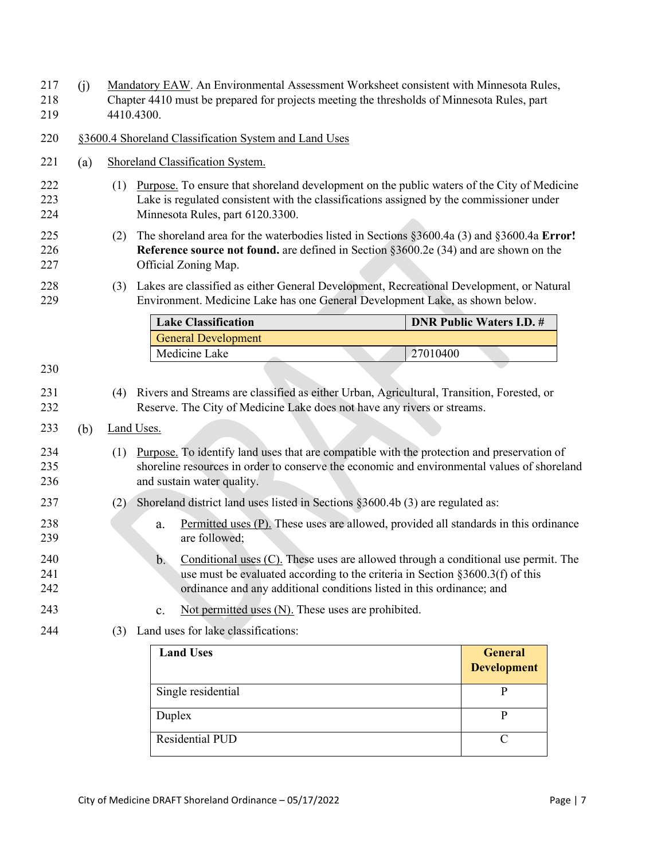<span id="page-6-2"></span><span id="page-6-1"></span><span id="page-6-0"></span>

| 217<br>218<br>219 | (j) |     | Mandatory EAW. An Environmental Assessment Worksheet consistent with Minnesota Rules,<br>Chapter 4410 must be prepared for projects meeting the thresholds of Minnesota Rules, part<br>4410.4300.                                                                     |          |                                      |  |  |  |  |  |
|-------------------|-----|-----|-----------------------------------------------------------------------------------------------------------------------------------------------------------------------------------------------------------------------------------------------------------------------|----------|--------------------------------------|--|--|--|--|--|
| 220               |     |     | §3600.4 Shoreland Classification System and Land Uses                                                                                                                                                                                                                 |          |                                      |  |  |  |  |  |
| 221               | (a) |     | Shoreland Classification System.                                                                                                                                                                                                                                      |          |                                      |  |  |  |  |  |
| 222<br>223<br>224 |     | (1) | Purpose. To ensure that shoreland development on the public waters of the City of Medicine<br>Lake is regulated consistent with the classifications assigned by the commissioner under<br>Minnesota Rules, part 6120.3300.                                            |          |                                      |  |  |  |  |  |
| 225<br>226<br>227 |     | (2) | The shoreland area for the waterbodies listed in Sections $\S 3600.4a$ (3) and $\S 3600.4a$ Error!<br>Reference source not found, are defined in Section §3600.2e (34) and are shown on the<br>Official Zoning Map.                                                   |          |                                      |  |  |  |  |  |
| 228<br>229        |     |     | (3) Lakes are classified as either General Development, Recreational Development, or Natural<br>Environment. Medicine Lake has one General Development Lake, as shown below.                                                                                          |          |                                      |  |  |  |  |  |
|                   |     |     | <b>Lake Classification</b>                                                                                                                                                                                                                                            |          | <b>DNR Public Waters I.D. #</b>      |  |  |  |  |  |
|                   |     |     | <b>General Development</b>                                                                                                                                                                                                                                            |          |                                      |  |  |  |  |  |
| 230               |     |     | Medicine Lake                                                                                                                                                                                                                                                         | 27010400 |                                      |  |  |  |  |  |
| 231<br>232        |     |     | (4) Rivers and Streams are classified as either Urban, Agricultural, Transition, Forested, or<br>Reserve. The City of Medicine Lake does not have any rivers or streams.                                                                                              |          |                                      |  |  |  |  |  |
| 233               | (b) |     | <b>Land Uses.</b>                                                                                                                                                                                                                                                     |          |                                      |  |  |  |  |  |
| 234<br>235<br>236 |     | (1) | Purpose. To identify land uses that are compatible with the protection and preservation of<br>shoreline resources in order to conserve the economic and environmental values of shoreland<br>and sustain water quality.                                               |          |                                      |  |  |  |  |  |
| 237               |     | (2) | Shoreland district land uses listed in Sections §3600.4b (3) are regulated as:                                                                                                                                                                                        |          |                                      |  |  |  |  |  |
| 238<br>239        |     |     | Permitted uses (P). These uses are allowed, provided all standards in this ordinance<br>a.<br>are followed;                                                                                                                                                           |          |                                      |  |  |  |  |  |
| 240<br>241<br>242 |     |     | b <sub>1</sub><br>Conditional uses $(C)$ . These uses are allowed through a conditional use permit. The<br>use must be evaluated according to the criteria in Section $\S 3600.3(f)$ of this<br>ordinance and any additional conditions listed in this ordinance; and |          |                                      |  |  |  |  |  |
| 243               |     |     | Not permitted uses $(N)$ . These uses are prohibited.<br>c.                                                                                                                                                                                                           |          |                                      |  |  |  |  |  |
| 244               |     |     | (3) Land uses for lake classifications:                                                                                                                                                                                                                               |          |                                      |  |  |  |  |  |
|                   |     |     | <b>Land Uses</b>                                                                                                                                                                                                                                                      |          | <b>General</b><br><b>Development</b> |  |  |  |  |  |
|                   |     |     | Single residential                                                                                                                                                                                                                                                    |          | $\mathbf{P}$                         |  |  |  |  |  |
|                   |     |     | Duplex                                                                                                                                                                                                                                                                |          | P                                    |  |  |  |  |  |

<span id="page-6-3"></span>Residential PUD C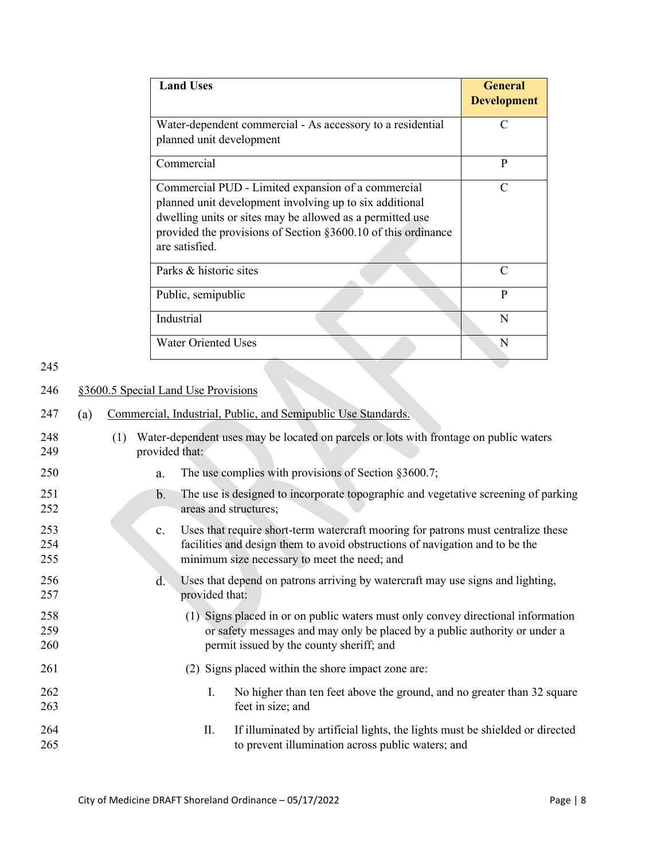| <b>Land Uses</b>                                                                                                                                                                                                                                              | <b>General</b><br><b>Development</b> |
|---------------------------------------------------------------------------------------------------------------------------------------------------------------------------------------------------------------------------------------------------------------|--------------------------------------|
| Water-dependent commercial - As accessory to a residential<br>planned unit development                                                                                                                                                                        | $\subset$                            |
| Commercial                                                                                                                                                                                                                                                    | P                                    |
| Commercial PUD - Limited expansion of a commercial<br>planned unit development involving up to six additional<br>dwelling units or sites may be allowed as a permitted use<br>provided the provisions of Section §3600.10 of this ordinance<br>are satisfied. | $\subset$                            |
| Parks & historic sites                                                                                                                                                                                                                                        | $\subset$                            |
| Public, semipublic                                                                                                                                                                                                                                            | P                                    |
| Industrial                                                                                                                                                                                                                                                    | N                                    |
| <b>Water Oriented Uses</b>                                                                                                                                                                                                                                    | N                                    |

<span id="page-7-0"></span>245

# 246 §3600.5 Special Land Use Provisions

| 247 | (a) | Commercial, Industrial, Public, and Semipublic Use Standards. |  |  |  |  |
|-----|-----|---------------------------------------------------------------|--|--|--|--|
|     |     |                                                               |  |  |  |  |

| 248<br>249        | (1) | provided that: |                | Water-dependent uses may be located on parcels or lots with frontage on public waters                                                                                                                             |
|-------------------|-----|----------------|----------------|-------------------------------------------------------------------------------------------------------------------------------------------------------------------------------------------------------------------|
| 250               |     | a.             |                | The use complies with provisions of Section §3600.7;                                                                                                                                                              |
| 251<br>252        |     | $\mathbf{b}$ . |                | The use is designed to incorporate topographic and vegetative screening of parking<br>areas and structures;                                                                                                       |
| 253<br>254<br>255 |     | $\mathbf{c}$ . |                | Uses that require short-term watercraft mooring for patrons must centralize these<br>facilities and design them to avoid obstructions of navigation and to be the<br>minimum size necessary to meet the need; and |
| 256<br>257        |     | $d_{\cdot}$    | provided that: | Uses that depend on patrons arriving by watercraft may use signs and lighting,                                                                                                                                    |
| 258<br>259<br>260 |     |                |                | (1) Signs placed in or on public waters must only convey directional information<br>or safety messages and may only be placed by a public authority or under a<br>permit issued by the county sheriff; and        |
| 261               |     |                |                | (2) Signs placed within the shore impact zone are:                                                                                                                                                                |
| 262<br>263        |     |                | Ι.             | No higher than ten feet above the ground, and no greater than 32 square<br>feet in size; and                                                                                                                      |
| 264<br>265        |     |                | II.            | If illuminated by artificial lights, the lights must be shielded or directed<br>to prevent illumination across public waters; and                                                                                 |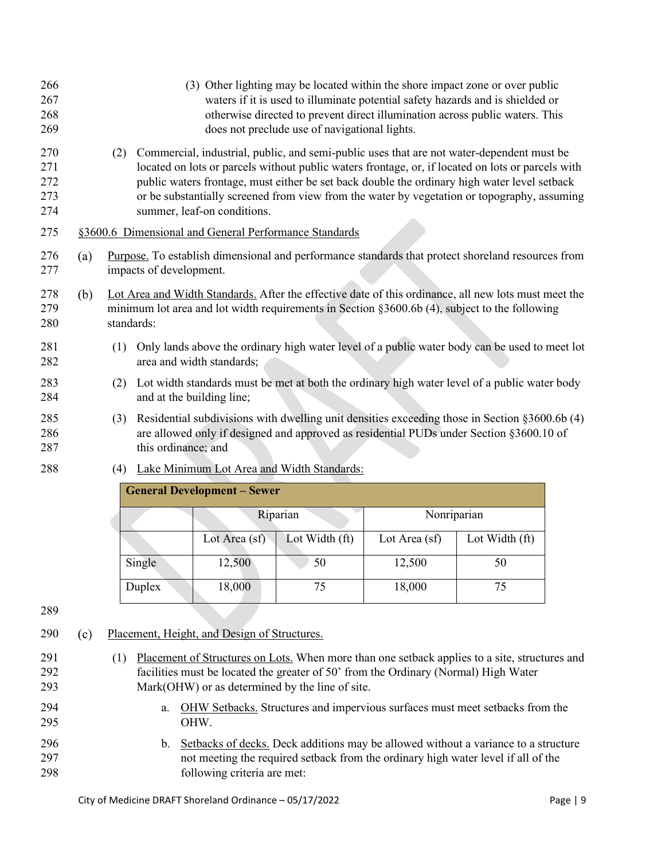<span id="page-8-0"></span>

| 266<br>267<br>268<br>269        |     |                                                                                                                              | (3) Other lighting may be located within the shore impact zone or over public<br>waters if it is used to illuminate potential safety hazards and is shielded or<br>otherwise directed to prevent direct illumination across public waters. This<br>does not preclude use of navigational lights.                                                                                                                             |  |  |  |  |
|---------------------------------|-----|------------------------------------------------------------------------------------------------------------------------------|------------------------------------------------------------------------------------------------------------------------------------------------------------------------------------------------------------------------------------------------------------------------------------------------------------------------------------------------------------------------------------------------------------------------------|--|--|--|--|
| 270<br>271<br>272<br>273<br>274 |     | (2)                                                                                                                          | Commercial, industrial, public, and semi-public uses that are not water-dependent must be<br>located on lots or parcels without public waters frontage, or, if located on lots or parcels with<br>public waters frontage, must either be set back double the ordinary high water level setback<br>or be substantially screened from view from the water by vegetation or topography, assuming<br>summer, leaf-on conditions. |  |  |  |  |
| 275                             |     |                                                                                                                              | §3600.6 Dimensional and General Performance Standards                                                                                                                                                                                                                                                                                                                                                                        |  |  |  |  |
| 276<br>277                      | (a) | Purpose. To establish dimensional and performance standards that protect shoreland resources from<br>impacts of development. |                                                                                                                                                                                                                                                                                                                                                                                                                              |  |  |  |  |
| 278<br>279<br>280               | (b) | standards:                                                                                                                   | Lot Area and Width Standards. After the effective date of this ordinance, all new lots must meet the<br>minimum lot area and lot width requirements in Section §3600.6b (4), subject to the following                                                                                                                                                                                                                        |  |  |  |  |
| 281<br>282                      |     | (1)                                                                                                                          | Only lands above the ordinary high water level of a public water body can be used to meet lot<br>area and width standards;                                                                                                                                                                                                                                                                                                   |  |  |  |  |
| 283<br>284                      |     | (2)                                                                                                                          | Lot width standards must be met at both the ordinary high water level of a public water body<br>and at the building line;                                                                                                                                                                                                                                                                                                    |  |  |  |  |
| 285<br>286<br>287               |     | (3)                                                                                                                          | Residential subdivisions with dwelling unit densities exceeding those in Section §3600.6b (4)<br>are allowed only if designed and approved as residential PUDs under Section §3600.10 of<br>this ordinance; and                                                                                                                                                                                                              |  |  |  |  |
| 288                             |     | (4)                                                                                                                          | Lake Minimum Lot Area and Width Standards:                                                                                                                                                                                                                                                                                                                                                                                   |  |  |  |  |

<span id="page-8-1"></span>

|        | <b>General Development – Sewer</b> |                |               |                |
|--------|------------------------------------|----------------|---------------|----------------|
|        |                                    | Riparian       | Nonriparian   |                |
|        | Lot Area (sf)                      | Lot Width (ft) | Lot Area (sf) | Lot Width (ft) |
| Single | 12,500                             | 50             | 12,500        | 50             |
| Duplex | 18,000                             | 75             | 18,000        | 75             |

290 (c) Placement, Height, and Design of Structures.

<span id="page-8-2"></span>г

| 291 | Placement of Structures on Lots. When more than one setback applies to a site, structures and |
|-----|-----------------------------------------------------------------------------------------------|
| 292 | facilities must be located the greater of 50' from the Ordinary (Normal) High Water           |
| 293 | Mark(OHW) or as determined by the line of site.                                               |
| 294 | a. OHW Setbacks. Structures and impervious surfaces must meet setbacks from the               |
| 295 | OHW.                                                                                          |

<span id="page-8-3"></span>296 b. Setbacks of decks. Deck additions may be allowed without a variance to a structure not meeting the required setback from the ordinary high water level if all of the following criteria are met: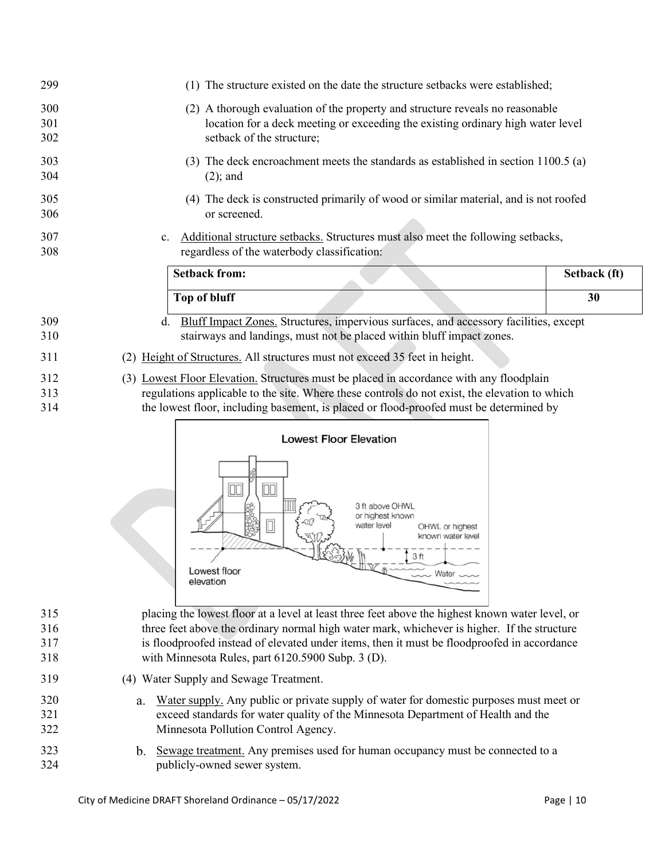| 299               | The structure existed on the date the structure set backs were established;                                                                                                                      |  |  |  |  |  |
|-------------------|--------------------------------------------------------------------------------------------------------------------------------------------------------------------------------------------------|--|--|--|--|--|
| 300<br>301<br>302 | A thorough evaluation of the property and structure reveals no reasonable<br>(2)<br>location for a deck meeting or exceeding the existing ordinary high water level<br>setback of the structure; |  |  |  |  |  |
| 303<br>304        | The deck encroachment meets the standards as established in section 1100.5 (a)<br>(3)<br>$(2)$ ; and                                                                                             |  |  |  |  |  |
| 305<br>306        | The deck is constructed primarily of wood or similar material, and is not roofed<br>(4)<br>or screened.                                                                                          |  |  |  |  |  |
| 307<br>308        | Additional structure setbacks. Structures must also meet the following setbacks,<br>$\mathbf{c}$ .<br>regardless of the waterbody classification:                                                |  |  |  |  |  |
|                   | <b>Setback from:</b><br>Setback (ft)                                                                                                                                                             |  |  |  |  |  |
|                   | Top of bluff<br>30                                                                                                                                                                               |  |  |  |  |  |
| 309               | Bluff Impact Zones. Structures, impervious surfaces, and accessory facilities, except<br>d.                                                                                                      |  |  |  |  |  |

(2) Height of Structures. All structures must not exceed 35 feet in height.

stairways and landings, must not be placed within bluff impact zones.

312 (3) Lowest Floor Elevation. Structures must be placed in accordance with any floodplain regulations applicable to the site. Where these controls do not exist, the elevation to which the lowest floor, including basement, is placed or flood-proofed must be determined by



- placing the lowest floor at a level at least three feet above the highest known water level, or three feet above the ordinary normal high water mark, whichever is higher. If the structure is floodproofed instead of elevated under items, then it must be floodproofed in accordance with [Minnesota Rules, part 6120.5900 Subp. 3 \(D\).](https://www.revisor.mn.gov/rules/?id=6120.5900)
- <span id="page-9-0"></span>(4) Water Supply and Sewage Treatment.
- Water supply. Any public or private supply of water for domestic purposes must meet or exceed standards for water quality of the Minnesota Department of Health and the Minnesota Pollution Control Agency.
- 323 b. Sewage treatment. Any premises used for human occupancy must be connected to a publicly-owned sewer system.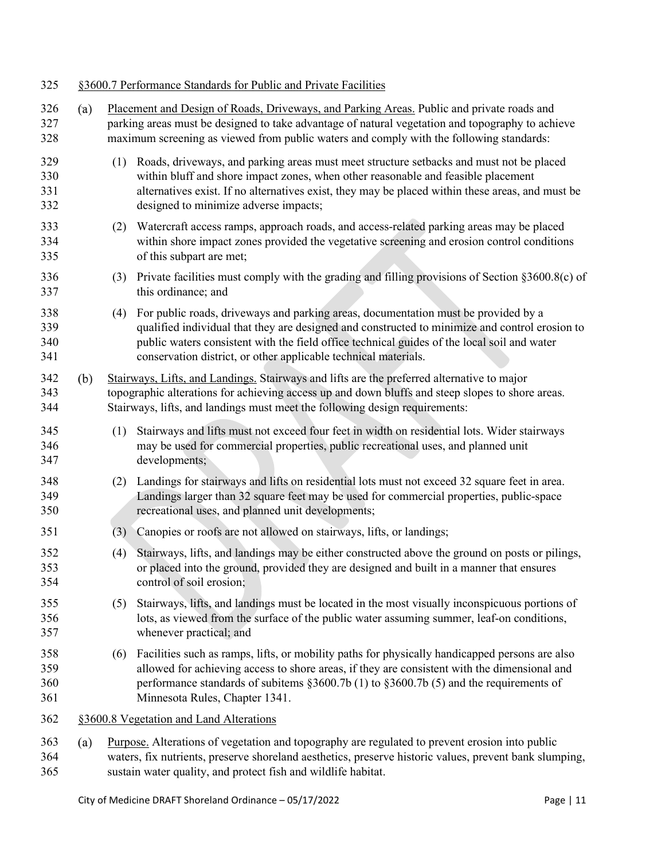<span id="page-10-4"></span><span id="page-10-0"></span>

| 325                      |     |     | §3600.7 Performance Standards for Public and Private Facilities                                                                                                                                                                                                                                                                                            |
|--------------------------|-----|-----|------------------------------------------------------------------------------------------------------------------------------------------------------------------------------------------------------------------------------------------------------------------------------------------------------------------------------------------------------------|
| 326<br>327<br>328        | (a) |     | Placement and Design of Roads, Driveways, and Parking Areas. Public and private roads and<br>parking areas must be designed to take advantage of natural vegetation and topography to achieve<br>maximum screening as viewed from public waters and comply with the following standards:                                                                   |
| 329<br>330<br>331<br>332 |     | (1) | Roads, driveways, and parking areas must meet structure setbacks and must not be placed<br>within bluff and shore impact zones, when other reasonable and feasible placement<br>alternatives exist. If no alternatives exist, they may be placed within these areas, and must be<br>designed to minimize adverse impacts;                                  |
| 333<br>334<br>335        |     | (2) | Watercraft access ramps, approach roads, and access-related parking areas may be placed<br>within shore impact zones provided the vegetative screening and erosion control conditions<br>of this subpart are met;                                                                                                                                          |
| 336<br>337               |     |     | (3) Private facilities must comply with the grading and filling provisions of Section $\S 3600.8(c)$ of<br>this ordinance; and                                                                                                                                                                                                                             |
| 338<br>339<br>340<br>341 |     |     | (4) For public roads, driveways and parking areas, documentation must be provided by a<br>qualified individual that they are designed and constructed to minimize and control erosion to<br>public waters consistent with the field office technical guides of the local soil and water<br>conservation district, or other applicable technical materials. |
| 342<br>343<br>344        | (b) |     | Stairways, Lifts, and Landings. Stairways and lifts are the preferred alternative to major<br>topographic alterations for achieving access up and down bluffs and steep slopes to shore areas.<br>Stairways, lifts, and landings must meet the following design requirements:                                                                              |
| 345<br>346<br>347        |     | (1) | Stairways and lifts must not exceed four feet in width on residential lots. Wider stairways<br>may be used for commercial properties, public recreational uses, and planned unit<br>developments;                                                                                                                                                          |
| 348<br>349<br>350        |     | (2) | Landings for stairways and lifts on residential lots must not exceed 32 square feet in area.<br>Landings larger than 32 square feet may be used for commercial properties, public-space<br>recreational uses, and planned unit developments;                                                                                                               |
| 351                      |     | (3) | Canopies or roofs are not allowed on stairways, lifts, or landings;                                                                                                                                                                                                                                                                                        |
| 352<br>353<br>354        |     | (4) | Stairways, lifts, and landings may be either constructed above the ground on posts or pilings,<br>or placed into the ground, provided they are designed and built in a manner that ensures<br>control of soil erosion;                                                                                                                                     |
| 355<br>356<br>357        |     | (5) | Stairways, lifts, and landings must be located in the most visually inconspicuous portions of<br>lots, as viewed from the surface of the public water assuming summer, leaf-on conditions,<br>whenever practical; and                                                                                                                                      |
| 358<br>359<br>360<br>361 |     |     | (6) Facilities such as ramps, lifts, or mobility paths for physically handicapped persons are also<br>allowed for achieving access to shore areas, if they are consistent with the dimensional and<br>performance standards of subitems §3600.7b (1) to §3600.7b (5) and the requirements of<br>Minnesota Rules, Chapter 1341.                             |
| 362                      |     |     | §3600.8 Vegetation and Land Alterations                                                                                                                                                                                                                                                                                                                    |
| 363<br>364               | (a) |     | Purpose. Alterations of vegetation and topography are regulated to prevent erosion into public<br>waters, fix nutrients, preserve shoreland aesthetics, preserve historic values, prevent bank slumping,                                                                                                                                                   |

<span id="page-10-3"></span><span id="page-10-2"></span><span id="page-10-1"></span>sustain water quality, and protect fish and wildlife habitat.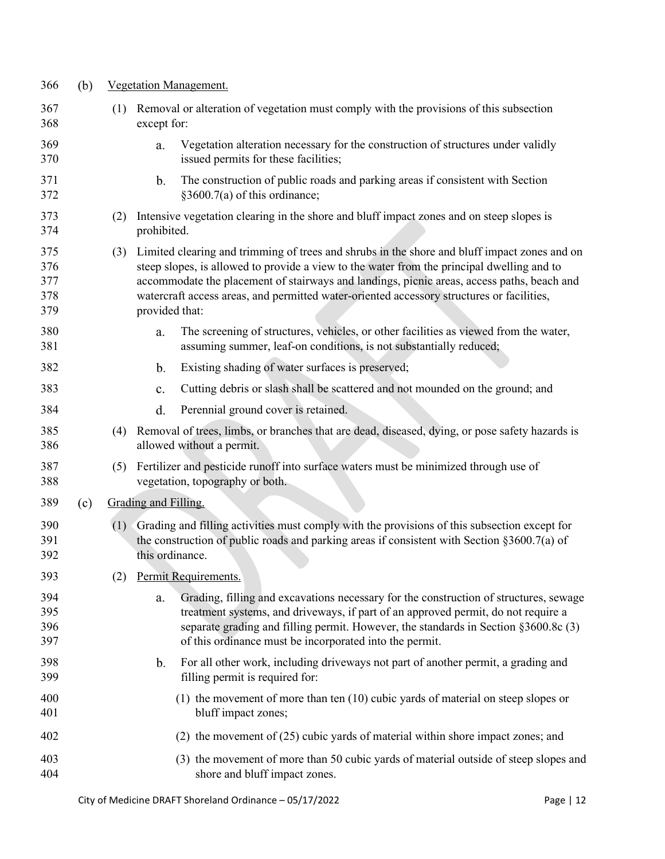<span id="page-11-0"></span>

| 366                             | (b) |     | Vegetation Management. |                                                                                                                                                                                                                                                                                                                                                                                       |  |  |  |  |
|---------------------------------|-----|-----|------------------------|---------------------------------------------------------------------------------------------------------------------------------------------------------------------------------------------------------------------------------------------------------------------------------------------------------------------------------------------------------------------------------------|--|--|--|--|
| 367<br>368                      |     | (1) | except for:            | Removal or alteration of vegetation must comply with the provisions of this subsection                                                                                                                                                                                                                                                                                                |  |  |  |  |
| 369<br>370                      |     |     | a.                     | Vegetation alteration necessary for the construction of structures under validly<br>issued permits for these facilities;                                                                                                                                                                                                                                                              |  |  |  |  |
| 371<br>372                      |     |     | b.                     | The construction of public roads and parking areas if consistent with Section<br>§3600.7(a) of this ordinance;                                                                                                                                                                                                                                                                        |  |  |  |  |
| 373<br>374                      |     | (2) | prohibited.            | Intensive vegetation clearing in the shore and bluff impact zones and on steep slopes is                                                                                                                                                                                                                                                                                              |  |  |  |  |
| 375<br>376<br>377<br>378<br>379 |     | (3) | provided that:         | Limited clearing and trimming of trees and shrubs in the shore and bluff impact zones and on<br>steep slopes, is allowed to provide a view to the water from the principal dwelling and to<br>accommodate the placement of stairways and landings, picnic areas, access paths, beach and<br>watercraft access areas, and permitted water-oriented accessory structures or facilities, |  |  |  |  |
| 380<br>381                      |     |     | a.                     | The screening of structures, vehicles, or other facilities as viewed from the water,<br>assuming summer, leaf-on conditions, is not substantially reduced;                                                                                                                                                                                                                            |  |  |  |  |
| 382                             |     |     | b.                     | Existing shading of water surfaces is preserved;                                                                                                                                                                                                                                                                                                                                      |  |  |  |  |
| 383                             |     |     | c.                     | Cutting debris or slash shall be scattered and not mounded on the ground; and                                                                                                                                                                                                                                                                                                         |  |  |  |  |
| 384                             |     |     | d.                     | Perennial ground cover is retained.                                                                                                                                                                                                                                                                                                                                                   |  |  |  |  |
| 385<br>386                      |     |     |                        | (4) Removal of trees, limbs, or branches that are dead, diseased, dying, or pose safety hazards is<br>allowed without a permit.                                                                                                                                                                                                                                                       |  |  |  |  |
| 387<br>388                      |     | (5) |                        | Fertilizer and pesticide runoff into surface waters must be minimized through use of<br>vegetation, topography or both.                                                                                                                                                                                                                                                               |  |  |  |  |
| 389                             | (c) |     | Grading and Filling.   |                                                                                                                                                                                                                                                                                                                                                                                       |  |  |  |  |
| 390<br>391<br>392               |     | (1) | this ordinance.        | Grading and filling activities must comply with the provisions of this subsection except for<br>the construction of public roads and parking areas if consistent with Section $\S 3600.7(a)$ of                                                                                                                                                                                       |  |  |  |  |
| 393                             |     | (2) |                        | Permit Requirements.                                                                                                                                                                                                                                                                                                                                                                  |  |  |  |  |
| 394<br>395<br>396<br>397        |     |     | a.                     | Grading, filling and excavations necessary for the construction of structures, sewage<br>treatment systems, and driveways, if part of an approved permit, do not require a<br>separate grading and filling permit. However, the standards in Section §3600.8c (3)<br>of this ordinance must be incorporated into the permit.                                                          |  |  |  |  |
| 398<br>399                      |     |     | b.                     | For all other work, including driveways not part of another permit, a grading and<br>filling permit is required for:                                                                                                                                                                                                                                                                  |  |  |  |  |
| 400<br>401                      |     |     |                        | $(1)$ the movement of more than ten $(10)$ cubic yards of material on steep slopes or<br>bluff impact zones;                                                                                                                                                                                                                                                                          |  |  |  |  |
| 402                             |     |     |                        | $(2)$ the movement of $(25)$ cubic yards of material within shore impact zones; and                                                                                                                                                                                                                                                                                                   |  |  |  |  |
| 403<br>404                      |     |     |                        | (3) the movement of more than 50 cubic yards of material outside of steep slopes and<br>shore and bluff impact zones.                                                                                                                                                                                                                                                                 |  |  |  |  |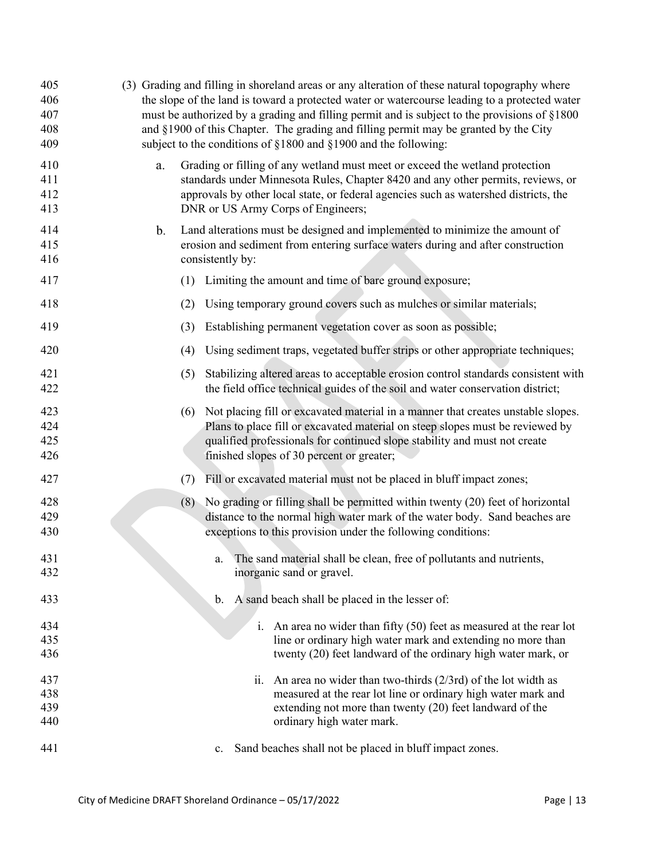<span id="page-12-0"></span>

| 405<br>406<br>407<br>408<br>409 | (3) Grading and filling in shoreland areas or any alteration of these natural topography where<br>the slope of the land is toward a protected water or watercourse leading to a protected water<br>must be authorized by a grading and filling permit and is subject to the provisions of §1800<br>and §1900 of this Chapter. The grading and filling permit may be granted by the City<br>subject to the conditions of $\S1800$ and $\S1900$ and the following: |  |  |  |  |  |  |  |  |
|---------------------------------|------------------------------------------------------------------------------------------------------------------------------------------------------------------------------------------------------------------------------------------------------------------------------------------------------------------------------------------------------------------------------------------------------------------------------------------------------------------|--|--|--|--|--|--|--|--|
| 410<br>411<br>412<br>413        | Grading or filling of any wetland must meet or exceed the wetland protection<br>a.<br>standards under Minnesota Rules, Chapter 8420 and any other permits, reviews, or<br>approvals by other local state, or federal agencies such as watershed districts, the<br>DNR or US Army Corps of Engineers;                                                                                                                                                             |  |  |  |  |  |  |  |  |
| 414<br>415<br>416               | Land alterations must be designed and implemented to minimize the amount of<br>b.<br>erosion and sediment from entering surface waters during and after construction<br>consistently by:                                                                                                                                                                                                                                                                         |  |  |  |  |  |  |  |  |
| 417                             | Limiting the amount and time of bare ground exposure;<br>(1)                                                                                                                                                                                                                                                                                                                                                                                                     |  |  |  |  |  |  |  |  |
| 418                             | Using temporary ground covers such as mulches or similar materials;<br>(2)                                                                                                                                                                                                                                                                                                                                                                                       |  |  |  |  |  |  |  |  |
| 419                             | Establishing permanent vegetation cover as soon as possible;<br>(3)                                                                                                                                                                                                                                                                                                                                                                                              |  |  |  |  |  |  |  |  |
| 420                             | Using sediment traps, vegetated buffer strips or other appropriate techniques;<br>(4)                                                                                                                                                                                                                                                                                                                                                                            |  |  |  |  |  |  |  |  |
| 421                             | Stabilizing altered areas to acceptable erosion control standards consistent with<br>(5)                                                                                                                                                                                                                                                                                                                                                                         |  |  |  |  |  |  |  |  |
| 422                             | the field office technical guides of the soil and water conservation district;                                                                                                                                                                                                                                                                                                                                                                                   |  |  |  |  |  |  |  |  |
| 423                             | Not placing fill or excavated material in a manner that creates unstable slopes.<br>(6)                                                                                                                                                                                                                                                                                                                                                                          |  |  |  |  |  |  |  |  |
| 424<br>425                      | Plans to place fill or excavated material on steep slopes must be reviewed by<br>qualified professionals for continued slope stability and must not create                                                                                                                                                                                                                                                                                                       |  |  |  |  |  |  |  |  |
| 426                             | finished slopes of 30 percent or greater;                                                                                                                                                                                                                                                                                                                                                                                                                        |  |  |  |  |  |  |  |  |
| 427                             | Fill or excavated material must not be placed in bluff impact zones;<br>(7)                                                                                                                                                                                                                                                                                                                                                                                      |  |  |  |  |  |  |  |  |
| 428                             | (8) No grading or filling shall be permitted within twenty (20) feet of horizontal                                                                                                                                                                                                                                                                                                                                                                               |  |  |  |  |  |  |  |  |
| 429                             | distance to the normal high water mark of the water body. Sand beaches are                                                                                                                                                                                                                                                                                                                                                                                       |  |  |  |  |  |  |  |  |
| 430                             | exceptions to this provision under the following conditions:                                                                                                                                                                                                                                                                                                                                                                                                     |  |  |  |  |  |  |  |  |
| 431                             | The sand material shall be clean, free of pollutants and nutrients,<br>a.                                                                                                                                                                                                                                                                                                                                                                                        |  |  |  |  |  |  |  |  |
| 432                             | inorganic sand or gravel.                                                                                                                                                                                                                                                                                                                                                                                                                                        |  |  |  |  |  |  |  |  |
| 433                             | b.<br>A sand beach shall be placed in the lesser of:                                                                                                                                                                                                                                                                                                                                                                                                             |  |  |  |  |  |  |  |  |
| 434                             | i. An area no wider than fifty $(50)$ feet as measured at the rear lot                                                                                                                                                                                                                                                                                                                                                                                           |  |  |  |  |  |  |  |  |
| 435                             | line or ordinary high water mark and extending no more than                                                                                                                                                                                                                                                                                                                                                                                                      |  |  |  |  |  |  |  |  |
| 436                             | twenty (20) feet landward of the ordinary high water mark, or                                                                                                                                                                                                                                                                                                                                                                                                    |  |  |  |  |  |  |  |  |
| 437                             | An area no wider than two-thirds $(2/3rd)$ of the lot width as<br>$\overline{11}$ .                                                                                                                                                                                                                                                                                                                                                                              |  |  |  |  |  |  |  |  |
| 438                             | measured at the rear lot line or ordinary high water mark and                                                                                                                                                                                                                                                                                                                                                                                                    |  |  |  |  |  |  |  |  |
| 439<br>440                      | extending not more than twenty (20) feet landward of the<br>ordinary high water mark.                                                                                                                                                                                                                                                                                                                                                                            |  |  |  |  |  |  |  |  |
|                                 |                                                                                                                                                                                                                                                                                                                                                                                                                                                                  |  |  |  |  |  |  |  |  |
| 441                             | Sand beaches shall not be placed in bluff impact zones.<br>c.                                                                                                                                                                                                                                                                                                                                                                                                    |  |  |  |  |  |  |  |  |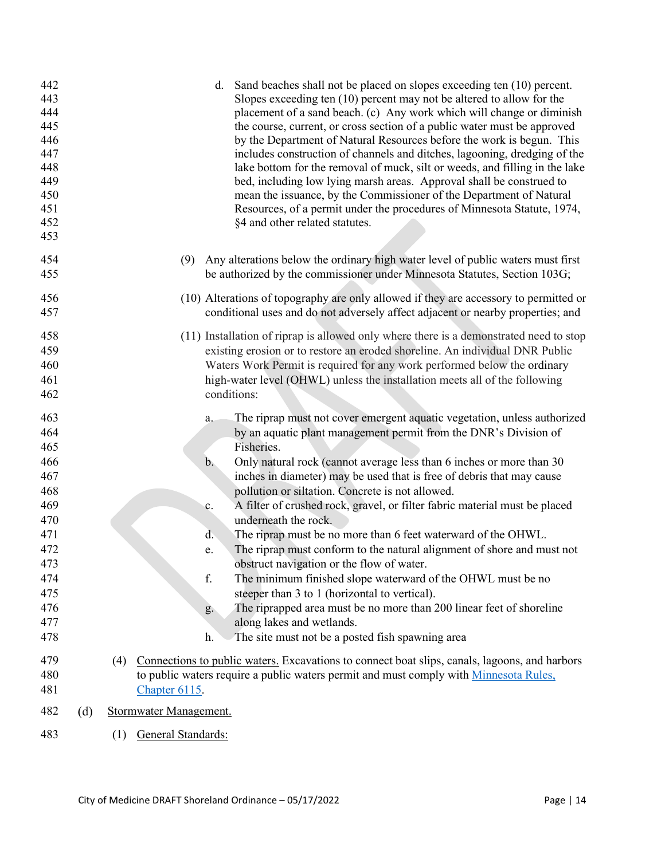| 442<br>443<br>444<br>445<br>446<br>447<br>448<br>449<br>450<br>451<br>452<br>453                             |     | Sand beaches shall not be placed on slopes exceeding ten (10) percent.<br>d.<br>Slopes exceeding ten $(10)$ percent may not be altered to allow for the<br>placement of a sand beach. (c) Any work which will change or diminish<br>the course, current, or cross section of a public water must be approved<br>by the Department of Natural Resources before the work is begun. This<br>includes construction of channels and ditches, lagooning, dredging of the<br>lake bottom for the removal of muck, silt or weeds, and filling in the lake<br>bed, including low lying marsh areas. Approval shall be construed to<br>mean the issuance, by the Commissioner of the Department of Natural<br>Resources, of a permit under the procedures of Minnesota Statute, 1974,<br>§4 and other related statutes.                                                                                                                                                                                     |
|--------------------------------------------------------------------------------------------------------------|-----|---------------------------------------------------------------------------------------------------------------------------------------------------------------------------------------------------------------------------------------------------------------------------------------------------------------------------------------------------------------------------------------------------------------------------------------------------------------------------------------------------------------------------------------------------------------------------------------------------------------------------------------------------------------------------------------------------------------------------------------------------------------------------------------------------------------------------------------------------------------------------------------------------------------------------------------------------------------------------------------------------|
| 454<br>455                                                                                                   |     | Any alterations below the ordinary high water level of public waters must first<br>(9)<br>be authorized by the commissioner under Minnesota Statutes, Section 103G;                                                                                                                                                                                                                                                                                                                                                                                                                                                                                                                                                                                                                                                                                                                                                                                                                               |
| 456<br>457                                                                                                   |     | (10) Alterations of topography are only allowed if they are accessory to permitted or<br>conditional uses and do not adversely affect adjacent or nearby properties; and                                                                                                                                                                                                                                                                                                                                                                                                                                                                                                                                                                                                                                                                                                                                                                                                                          |
| 458<br>459<br>460<br>461<br>462                                                                              |     | (11) Installation of riprap is allowed only where there is a demonstrated need to stop<br>existing erosion or to restore an eroded shoreline. An individual DNR Public<br>Waters Work Permit is required for any work performed below the ordinary<br>high-water level (OHWL) unless the installation meets all of the following<br>conditions:                                                                                                                                                                                                                                                                                                                                                                                                                                                                                                                                                                                                                                                   |
| 463<br>464<br>465<br>466<br>467<br>468<br>469<br>470<br>471<br>472<br>473<br>474<br>475<br>476<br>477<br>478 |     | The riprap must not cover emergent aquatic vegetation, unless authorized<br>a.<br>by an aquatic plant management permit from the DNR's Division of<br>Fisheries.<br>$\mathbf b$ .<br>Only natural rock (cannot average less than 6 inches or more than 30<br>inches in diameter) may be used that is free of debris that may cause<br>pollution or siltation. Concrete is not allowed.<br>A filter of crushed rock, gravel, or filter fabric material must be placed<br>c.<br>underneath the rock.<br>The riprap must be no more than 6 feet waterward of the OHWL.<br>d.<br>The riprap must conform to the natural alignment of shore and must not<br>e.<br>obstruct navigation or the flow of water.<br>f.<br>The minimum finished slope waterward of the OHWL must be no<br>steeper than 3 to 1 (horizontal to vertical).<br>The riprapped area must be no more than 200 linear feet of shoreline<br>g.<br>along lakes and wetlands.<br>The site must not be a posted fish spawning area<br>h. |
| 479<br>480<br>481                                                                                            |     | Connections to public waters. Excavations to connect boat slips, canals, lagoons, and harbors<br>(4)<br>to public waters require a public waters permit and must comply with Minnesota Rules,<br>Chapter 6115.                                                                                                                                                                                                                                                                                                                                                                                                                                                                                                                                                                                                                                                                                                                                                                                    |
| 482                                                                                                          | (d) | Stormwater Management.                                                                                                                                                                                                                                                                                                                                                                                                                                                                                                                                                                                                                                                                                                                                                                                                                                                                                                                                                                            |
| 483                                                                                                          |     | General Standards:<br>(1)                                                                                                                                                                                                                                                                                                                                                                                                                                                                                                                                                                                                                                                                                                                                                                                                                                                                                                                                                                         |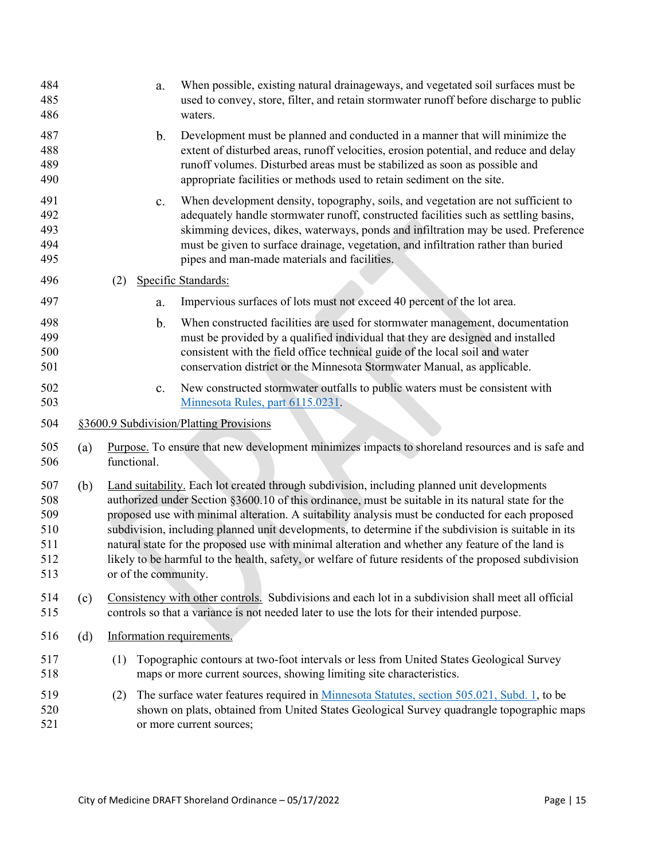<span id="page-14-0"></span>

| 484<br>485<br>486                             |     |     | a.                   | When possible, existing natural drainageways, and vegetated soil surfaces must be<br>used to convey, store, filter, and retain stormwater runoff before discharge to public<br>waters.                                                                                                                                                                                                                                                                                                                                                                                                                                       |
|-----------------------------------------------|-----|-----|----------------------|------------------------------------------------------------------------------------------------------------------------------------------------------------------------------------------------------------------------------------------------------------------------------------------------------------------------------------------------------------------------------------------------------------------------------------------------------------------------------------------------------------------------------------------------------------------------------------------------------------------------------|
| 487<br>488<br>489<br>490                      |     |     | $\mathbf b$ .        | Development must be planned and conducted in a manner that will minimize the<br>extent of disturbed areas, runoff velocities, erosion potential, and reduce and delay<br>runoff volumes. Disturbed areas must be stabilized as soon as possible and<br>appropriate facilities or methods used to retain sediment on the site.                                                                                                                                                                                                                                                                                                |
| 491<br>492<br>493<br>494<br>495               |     |     | $\mathbf{c}.$        | When development density, topography, soils, and vegetation are not sufficient to<br>adequately handle stormwater runoff, constructed facilities such as settling basins,<br>skimming devices, dikes, waterways, ponds and infiltration may be used. Preference<br>must be given to surface drainage, vegetation, and infiltration rather than buried<br>pipes and man-made materials and facilities.                                                                                                                                                                                                                        |
| 496                                           |     | (2) |                      | Specific Standards:                                                                                                                                                                                                                                                                                                                                                                                                                                                                                                                                                                                                          |
| 497                                           |     |     | a.                   | Impervious surfaces of lots must not exceed 40 percent of the lot area.                                                                                                                                                                                                                                                                                                                                                                                                                                                                                                                                                      |
| 498<br>499<br>500<br>501                      |     |     | b.                   | When constructed facilities are used for stormwater management, documentation<br>must be provided by a qualified individual that they are designed and installed<br>consistent with the field office technical guide of the local soil and water<br>conservation district or the Minnesota Stormwater Manual, as applicable.                                                                                                                                                                                                                                                                                                 |
| 502<br>503                                    |     |     | c.                   | New constructed stormwater outfalls to public waters must be consistent with<br>Minnesota Rules, part 6115.0231.                                                                                                                                                                                                                                                                                                                                                                                                                                                                                                             |
| 504                                           |     |     |                      | §3600.9 Subdivision/Platting Provisions                                                                                                                                                                                                                                                                                                                                                                                                                                                                                                                                                                                      |
| 505<br>506                                    | (a) |     | functional.          | Purpose. To ensure that new development minimizes impacts to shoreland resources and is safe and                                                                                                                                                                                                                                                                                                                                                                                                                                                                                                                             |
| 507<br>508<br>509<br>510<br>511<br>512<br>513 | (b) |     | or of the community. | Land suitability. Each lot created through subdivision, including planned unit developments<br>authorized under Section §3600.10 of this ordinance, must be suitable in its natural state for the<br>proposed use with minimal alteration. A suitability analysis must be conducted for each proposed<br>subdivision, including planned unit developments, to determine if the subdivision is suitable in its<br>natural state for the proposed use with minimal alteration and whether any feature of the land is<br>likely to be harmful to the health, safety, or welfare of future residents of the proposed subdivision |
| 514<br>515                                    | (c) |     |                      | Consistency with other controls. Subdivisions and each lot in a subdivision shall meet all official<br>controls so that a variance is not needed later to use the lots for their intended purpose.                                                                                                                                                                                                                                                                                                                                                                                                                           |
| 516                                           | (d) |     |                      | Information requirements.                                                                                                                                                                                                                                                                                                                                                                                                                                                                                                                                                                                                    |
| 517<br>518                                    |     | (1) |                      | Topographic contours at two-foot intervals or less from United States Geological Survey<br>maps or more current sources, showing limiting site characteristics.                                                                                                                                                                                                                                                                                                                                                                                                                                                              |
| 519<br>520<br>521                             |     | (2) |                      | The surface water features required in Minnesota Statutes, section 505.021, Subd. 1, to be<br>shown on plats, obtained from United States Geological Survey quadrangle topographic maps<br>or more current sources;                                                                                                                                                                                                                                                                                                                                                                                                          |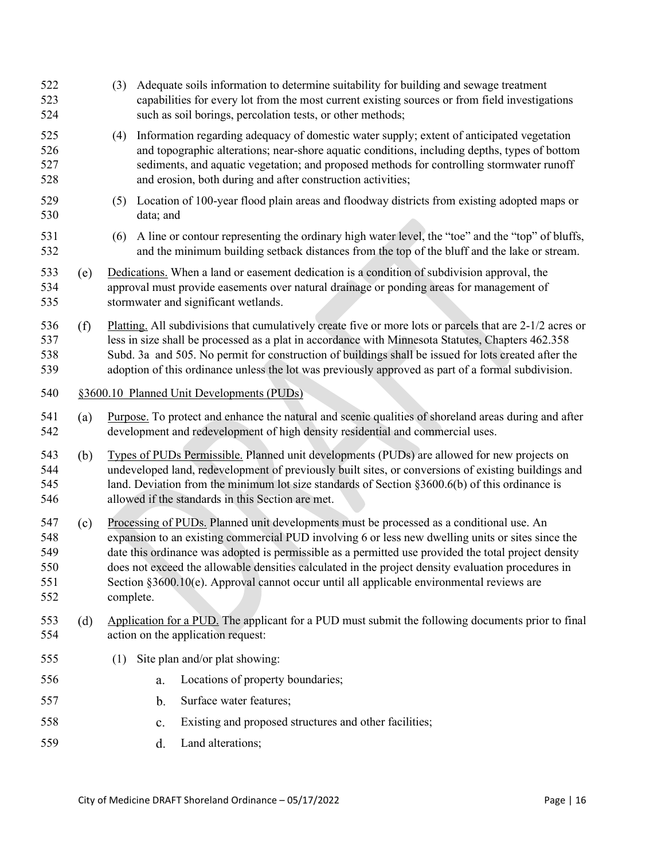<span id="page-15-0"></span>

| 522<br>523<br>524                      |     | Adequate soils information to determine suitability for building and sewage treatment<br>(3)<br>capabilities for every lot from the most current existing sources or from field investigations<br>such as soil borings, percolation tests, or other methods;                                                                                                                                                                                                                                                          |  |  |  |  |  |  |
|----------------------------------------|-----|-----------------------------------------------------------------------------------------------------------------------------------------------------------------------------------------------------------------------------------------------------------------------------------------------------------------------------------------------------------------------------------------------------------------------------------------------------------------------------------------------------------------------|--|--|--|--|--|--|
| 525<br>526<br>527<br>528               |     | (4) Information regarding adequacy of domestic water supply; extent of anticipated vegetation<br>and topographic alterations; near-shore aquatic conditions, including depths, types of bottom<br>sediments, and aquatic vegetation; and proposed methods for controlling stormwater runoff<br>and erosion, both during and after construction activities;                                                                                                                                                            |  |  |  |  |  |  |
| 529<br>530                             |     | (5) Location of 100-year flood plain areas and floodway districts from existing adopted maps or<br>data; and                                                                                                                                                                                                                                                                                                                                                                                                          |  |  |  |  |  |  |
| 531<br>532                             |     | (6) A line or contour representing the ordinary high water level, the "toe" and the "top" of bluffs,<br>and the minimum building setback distances from the top of the bluff and the lake or stream.                                                                                                                                                                                                                                                                                                                  |  |  |  |  |  |  |
| 533<br>534<br>535                      | (e) | Dedications. When a land or easement dedication is a condition of subdivision approval, the<br>approval must provide easements over natural drainage or ponding areas for management of<br>stormwater and significant wetlands.                                                                                                                                                                                                                                                                                       |  |  |  |  |  |  |
| 536<br>537<br>538<br>539               | (f) | Platting. All subdivisions that cumulatively create five or more lots or parcels that are 2-1/2 acres or<br>less in size shall be processed as a plat in accordance with Minnesota Statutes, Chapters 462.358<br>Subd. 3a and 505. No permit for construction of buildings shall be issued for lots created after the<br>adoption of this ordinance unless the lot was previously approved as part of a formal subdivision.                                                                                           |  |  |  |  |  |  |
| 540                                    |     | §3600.10 Planned Unit Developments (PUDs)                                                                                                                                                                                                                                                                                                                                                                                                                                                                             |  |  |  |  |  |  |
| 541<br>542                             | (a) | Purpose. To protect and enhance the natural and scenic qualities of shoreland areas during and after<br>development and redevelopment of high density residential and commercial uses.                                                                                                                                                                                                                                                                                                                                |  |  |  |  |  |  |
| 543<br>544<br>545<br>546               | (b) | Types of PUDs Permissible. Planned unit developments (PUDs) are allowed for new projects on<br>undeveloped land, redevelopment of previously built sites, or conversions of existing buildings and<br>land. Deviation from the minimum lot size standards of Section $\S3600.6(b)$ of this ordinance is<br>allowed if the standards in this Section are met.                                                                                                                                                          |  |  |  |  |  |  |
| 547<br>548<br>549<br>550<br>551<br>552 | (c) | Processing of PUDs. Planned unit developments must be processed as a conditional use. An<br>expansion to an existing commercial PUD involving 6 or less new dwelling units or sites since the<br>date this ordinance was adopted is permissible as a permitted use provided the total project density<br>does not exceed the allowable densities calculated in the project density evaluation procedures in<br>Section §3600.10(e). Approval cannot occur until all applicable environmental reviews are<br>complete. |  |  |  |  |  |  |
| 553<br>554                             | (d) | Application for a PUD. The applicant for a PUD must submit the following documents prior to final<br>action on the application request:                                                                                                                                                                                                                                                                                                                                                                               |  |  |  |  |  |  |
| 555                                    |     | (1) Site plan and/or plat showing:                                                                                                                                                                                                                                                                                                                                                                                                                                                                                    |  |  |  |  |  |  |
| 556                                    |     | Locations of property boundaries;<br>a.                                                                                                                                                                                                                                                                                                                                                                                                                                                                               |  |  |  |  |  |  |
| 557                                    |     | Surface water features;<br>b.                                                                                                                                                                                                                                                                                                                                                                                                                                                                                         |  |  |  |  |  |  |
| 558                                    |     | Existing and proposed structures and other facilities;<br>c.                                                                                                                                                                                                                                                                                                                                                                                                                                                          |  |  |  |  |  |  |
| 559                                    |     | Land alterations;<br>d.                                                                                                                                                                                                                                                                                                                                                                                                                                                                                               |  |  |  |  |  |  |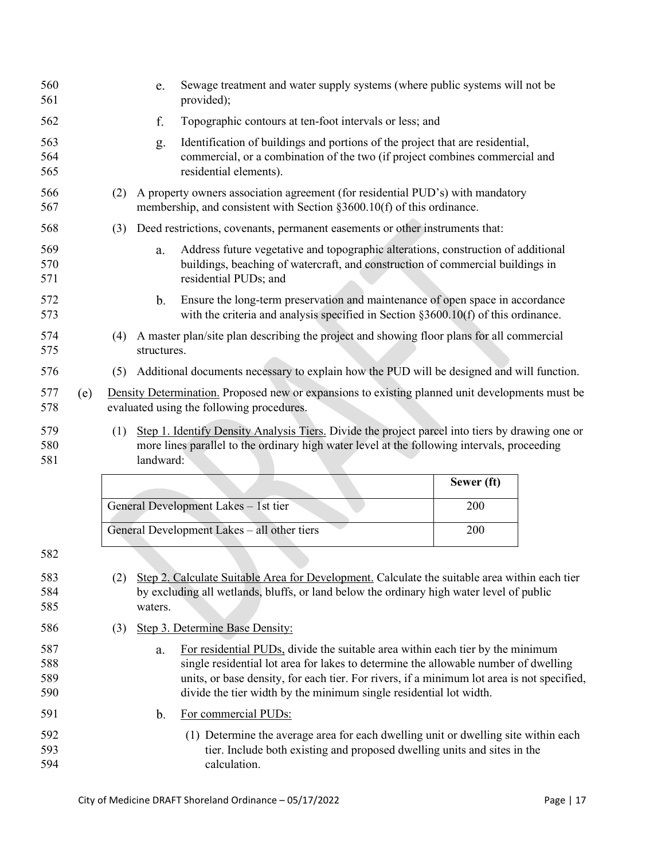<span id="page-16-3"></span><span id="page-16-2"></span><span id="page-16-1"></span><span id="page-16-0"></span>

| 560<br>561               |     |                                                                                                                                                                                                                    | e.          | Sewage treatment and water supply systems (where public systems will not be<br>provided);                                                                                                                                                                                                                                                 |            |  |  |  |
|--------------------------|-----|--------------------------------------------------------------------------------------------------------------------------------------------------------------------------------------------------------------------|-------------|-------------------------------------------------------------------------------------------------------------------------------------------------------------------------------------------------------------------------------------------------------------------------------------------------------------------------------------------|------------|--|--|--|
| 562                      |     |                                                                                                                                                                                                                    | f.          | Topographic contours at ten-foot intervals or less; and                                                                                                                                                                                                                                                                                   |            |  |  |  |
| 563<br>564<br>565        |     |                                                                                                                                                                                                                    | g.          | Identification of buildings and portions of the project that are residential,<br>commercial, or a combination of the two (if project combines commercial and<br>residential elements).                                                                                                                                                    |            |  |  |  |
| 566<br>567               |     | (2)                                                                                                                                                                                                                |             | A property owners association agreement (for residential PUD's) with mandatory<br>membership, and consistent with Section §3600.10(f) of this ordinance.                                                                                                                                                                                  |            |  |  |  |
| 568                      |     | (3)                                                                                                                                                                                                                |             | Deed restrictions, covenants, permanent easements or other instruments that:                                                                                                                                                                                                                                                              |            |  |  |  |
| 569<br>570<br>571        |     |                                                                                                                                                                                                                    | a.          | Address future vegetative and topographic alterations, construction of additional<br>buildings, beaching of watercraft, and construction of commercial buildings in<br>residential PUDs; and                                                                                                                                              |            |  |  |  |
| 572<br>573               |     |                                                                                                                                                                                                                    | b.          | Ensure the long-term preservation and maintenance of open space in accordance<br>with the criteria and analysis specified in Section $\S 3600.10(f)$ of this ordinance.                                                                                                                                                                   |            |  |  |  |
| 574<br>575               |     | (4)                                                                                                                                                                                                                | structures. | A master plan/site plan describing the project and showing floor plans for all commercial                                                                                                                                                                                                                                                 |            |  |  |  |
| 576                      |     | (5)                                                                                                                                                                                                                |             | Additional documents necessary to explain how the PUD will be designed and will function.                                                                                                                                                                                                                                                 |            |  |  |  |
| 577<br>578               | (e) |                                                                                                                                                                                                                    |             | Density Determination. Proposed new or expansions to existing planned unit developments must be<br>evaluated using the following procedures.                                                                                                                                                                                              |            |  |  |  |
|                          |     | Step 1. Identify Density Analysis Tiers. Divide the project parcel into tiers by drawing one or<br>(1)<br>more lines parallel to the ordinary high water level at the following intervals, proceeding<br>landward: |             |                                                                                                                                                                                                                                                                                                                                           |            |  |  |  |
| 579<br>580<br>581        |     |                                                                                                                                                                                                                    |             |                                                                                                                                                                                                                                                                                                                                           |            |  |  |  |
|                          |     |                                                                                                                                                                                                                    |             |                                                                                                                                                                                                                                                                                                                                           | Sewer (ft) |  |  |  |
|                          |     |                                                                                                                                                                                                                    |             | General Development Lakes - 1st tier                                                                                                                                                                                                                                                                                                      | 200        |  |  |  |
|                          |     |                                                                                                                                                                                                                    |             | General Development Lakes - all other tiers                                                                                                                                                                                                                                                                                               | 200        |  |  |  |
| 582                      |     |                                                                                                                                                                                                                    |             |                                                                                                                                                                                                                                                                                                                                           |            |  |  |  |
| 583<br>584<br>585        |     | (2)                                                                                                                                                                                                                | waters.     | Step 2. Calculate Suitable Area for Development. Calculate the suitable area within each tier<br>by excluding all wetlands, bluffs, or land below the ordinary high water level of public                                                                                                                                                 |            |  |  |  |
| 586                      |     | (3)                                                                                                                                                                                                                |             | Step 3. Determine Base Density:                                                                                                                                                                                                                                                                                                           |            |  |  |  |
| 587<br>588<br>589<br>590 |     |                                                                                                                                                                                                                    | a.          | For residential PUDs, divide the suitable area within each tier by the minimum<br>single residential lot area for lakes to determine the allowable number of dwelling<br>units, or base density, for each tier. For rivers, if a minimum lot area is not specified,<br>divide the tier width by the minimum single residential lot width. |            |  |  |  |
| 591                      |     |                                                                                                                                                                                                                    | b.          | For commercial PUDs:                                                                                                                                                                                                                                                                                                                      |            |  |  |  |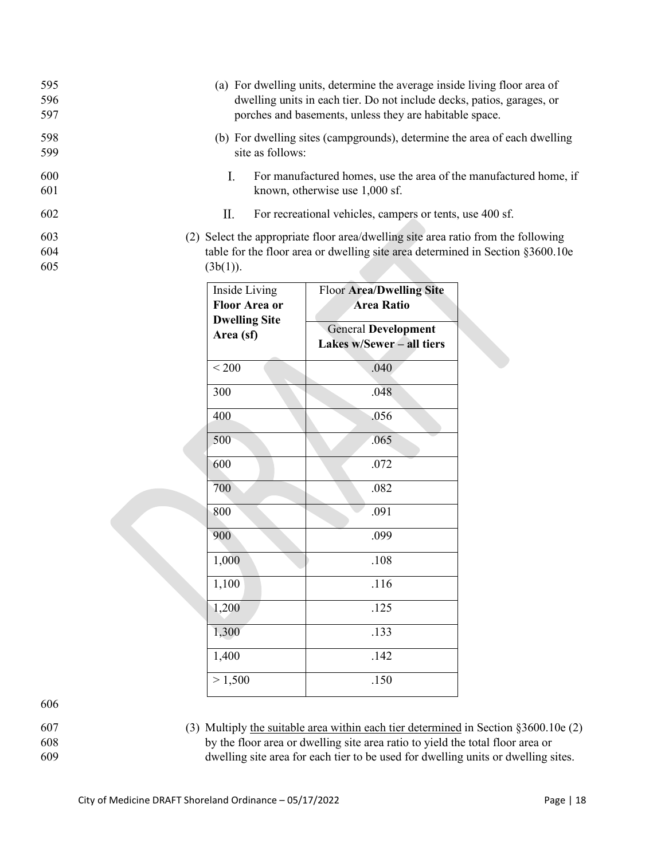| 595<br>596<br>597 | (a) For dwelling units, determine the average inside living floor area of<br>dwelling units in each tier. Do not include decks, patios, garages, or<br>porches and basements, unless they are habitable space. |
|-------------------|----------------------------------------------------------------------------------------------------------------------------------------------------------------------------------------------------------------|
| 598<br>599        | (b) For dwelling sites (campgrounds), determine the area of each dwelling<br>site as follows:                                                                                                                  |
| 600<br>601        | For manufactured homes, use the area of the manufactured home, if<br>L<br>known, otherwise use 1,000 sf.                                                                                                       |
| 602               | For recreational vehicles, campers or tents, use 400 sf.<br>П.                                                                                                                                                 |
| 603<br>604<br>605 | (2) Select the appropriate floor area/dwelling site area ratio from the following<br>table for the floor area or dwelling site area determined in Section §3600.10e<br>(3b(1)).                                |
|                   |                                                                                                                                                                                                                |

| Inside Living<br><b>Floor Area or</b><br><b>Dwelling Site</b><br>Area (sf) | <b>Floor Area/Dwelling Site</b><br><b>Area Ratio</b><br><b>General Development</b><br>Lakes w/Sewer - all tiers |
|----------------------------------------------------------------------------|-----------------------------------------------------------------------------------------------------------------|
| ${}_{200}$                                                                 | .040                                                                                                            |
| 300                                                                        | .048                                                                                                            |
| 400                                                                        | .056                                                                                                            |
| 500                                                                        | .065                                                                                                            |
| 600                                                                        | .072                                                                                                            |
| 700                                                                        | .082                                                                                                            |
| 800                                                                        | .091                                                                                                            |
| 900                                                                        | .099                                                                                                            |
| 1,000                                                                      | .108                                                                                                            |
| 1,100                                                                      | .116                                                                                                            |
| 1,200                                                                      | .125                                                                                                            |
| 1,300                                                                      | .133                                                                                                            |
| 1,400                                                                      | .142                                                                                                            |
| > 1,500                                                                    | .150                                                                                                            |

606

<span id="page-17-0"></span>

607 (3) Multiply the suitable area within each tier determined in Section §3600.10e [\(2\)](#page-16-2) 608 by the floor area or dwelling site area ratio to yield the total floor area or 609 dwelling site area for each tier to be used for dwelling units or dwelling sites.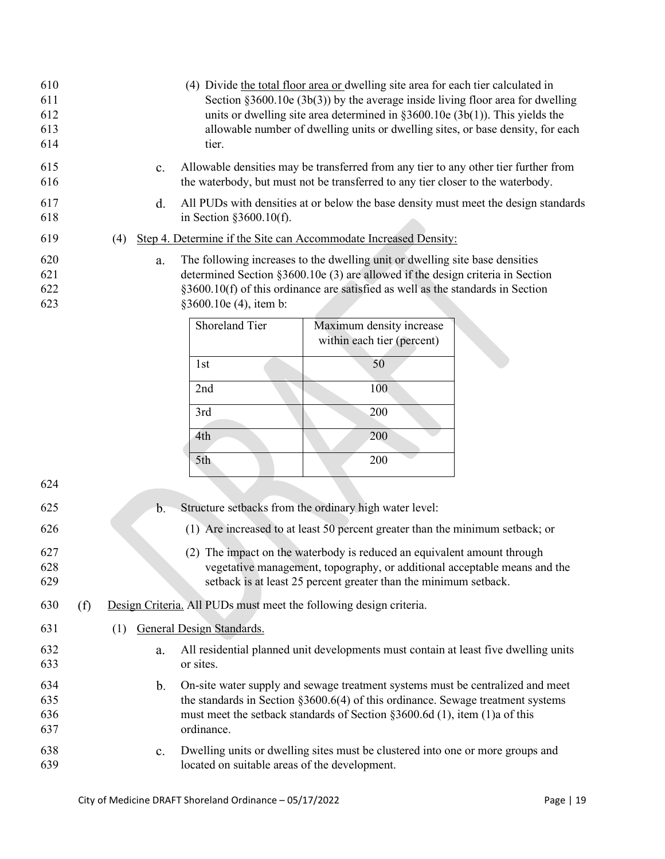<span id="page-18-1"></span><span id="page-18-0"></span>

| 610<br>611<br>612<br>613<br>614 |     |                                                                                                                                                                                                                                                                                      | tier.                                         | (4) Divide the total floor area or dwelling site area for each tier calculated in<br>Section $\S3600.10e(3b(3))$ by the average inside living floor area for dwelling<br>units or dwelling site area determined in $\S 3600.10e(3b(1))$ . This yields the<br>allowable number of dwelling units or dwelling sites, or base density, for each |  |  |  |  |  |
|---------------------------------|-----|--------------------------------------------------------------------------------------------------------------------------------------------------------------------------------------------------------------------------------------------------------------------------------------|-----------------------------------------------|----------------------------------------------------------------------------------------------------------------------------------------------------------------------------------------------------------------------------------------------------------------------------------------------------------------------------------------------|--|--|--|--|--|
| 615<br>616                      |     | c.                                                                                                                                                                                                                                                                                   |                                               | Allowable densities may be transferred from any tier to any other tier further from<br>the waterbody, but must not be transferred to any tier closer to the waterbody.                                                                                                                                                                       |  |  |  |  |  |
| 617<br>618                      |     | All PUDs with densities at or below the base density must meet the design standards<br>d.<br>in Section $§3600.10(f)$ .                                                                                                                                                              |                                               |                                                                                                                                                                                                                                                                                                                                              |  |  |  |  |  |
| 619                             |     | Step 4. Determine if the Site can Accommodate Increased Density:<br>(4)                                                                                                                                                                                                              |                                               |                                                                                                                                                                                                                                                                                                                                              |  |  |  |  |  |
| 620<br>621<br>622<br>623        |     | The following increases to the dwelling unit or dwelling site base densities<br>a.<br>determined Section §3600.10e (3) are allowed if the design criteria in Section<br>$\S3600.10(f)$ of this ordinance are satisfied as well as the standards in Section<br>§3600.10e (4), item b: |                                               |                                                                                                                                                                                                                                                                                                                                              |  |  |  |  |  |
|                                 |     |                                                                                                                                                                                                                                                                                      | Shoreland Tier                                | Maximum density increase<br>within each tier (percent)                                                                                                                                                                                                                                                                                       |  |  |  |  |  |
|                                 |     |                                                                                                                                                                                                                                                                                      | 1st                                           | 50                                                                                                                                                                                                                                                                                                                                           |  |  |  |  |  |
|                                 |     |                                                                                                                                                                                                                                                                                      | 2nd                                           | 100                                                                                                                                                                                                                                                                                                                                          |  |  |  |  |  |
|                                 |     |                                                                                                                                                                                                                                                                                      | 3rd                                           | 200                                                                                                                                                                                                                                                                                                                                          |  |  |  |  |  |
|                                 |     |                                                                                                                                                                                                                                                                                      | 4th                                           | 200                                                                                                                                                                                                                                                                                                                                          |  |  |  |  |  |
|                                 |     |                                                                                                                                                                                                                                                                                      | 5th                                           | 200                                                                                                                                                                                                                                                                                                                                          |  |  |  |  |  |
| 624                             |     |                                                                                                                                                                                                                                                                                      |                                               |                                                                                                                                                                                                                                                                                                                                              |  |  |  |  |  |
| 625                             |     | $\mathbf{b}$ .                                                                                                                                                                                                                                                                       |                                               | Structure setbacks from the ordinary high water level:                                                                                                                                                                                                                                                                                       |  |  |  |  |  |
| 626                             |     |                                                                                                                                                                                                                                                                                      |                                               | (1) Are increased to at least 50 percent greater than the minimum setback; or                                                                                                                                                                                                                                                                |  |  |  |  |  |
| 627<br>628<br>629               |     |                                                                                                                                                                                                                                                                                      |                                               | (2) The impact on the waterbody is reduced an equivalent amount through<br>vegetative management, topography, or additional acceptable means and the<br>setback is at least 25 percent greater than the minimum setback.                                                                                                                     |  |  |  |  |  |
| 630                             | (f) |                                                                                                                                                                                                                                                                                      |                                               | Design Criteria. All PUDs must meet the following design criteria.                                                                                                                                                                                                                                                                           |  |  |  |  |  |
| 631                             |     | (1)                                                                                                                                                                                                                                                                                  | <b>General Design Standards.</b>              |                                                                                                                                                                                                                                                                                                                                              |  |  |  |  |  |
| 632<br>633                      |     | a.                                                                                                                                                                                                                                                                                   | or sites.                                     | All residential planned unit developments must contain at least five dwelling units                                                                                                                                                                                                                                                          |  |  |  |  |  |
| 634<br>635<br>636<br>637        |     | b.                                                                                                                                                                                                                                                                                   | ordinance.                                    | On-site water supply and sewage treatment systems must be centralized and meet<br>the standards in Section $\S 3600.6(4)$ of this ordinance. Sewage treatment systems<br>must meet the setback standards of Section $\S 3600.6d(1)$ , item (1)a of this                                                                                      |  |  |  |  |  |
| 638<br>639                      |     | $\mathbf{c}$ .                                                                                                                                                                                                                                                                       | located on suitable areas of the development. | Dwelling units or dwelling sites must be clustered into one or more groups and                                                                                                                                                                                                                                                               |  |  |  |  |  |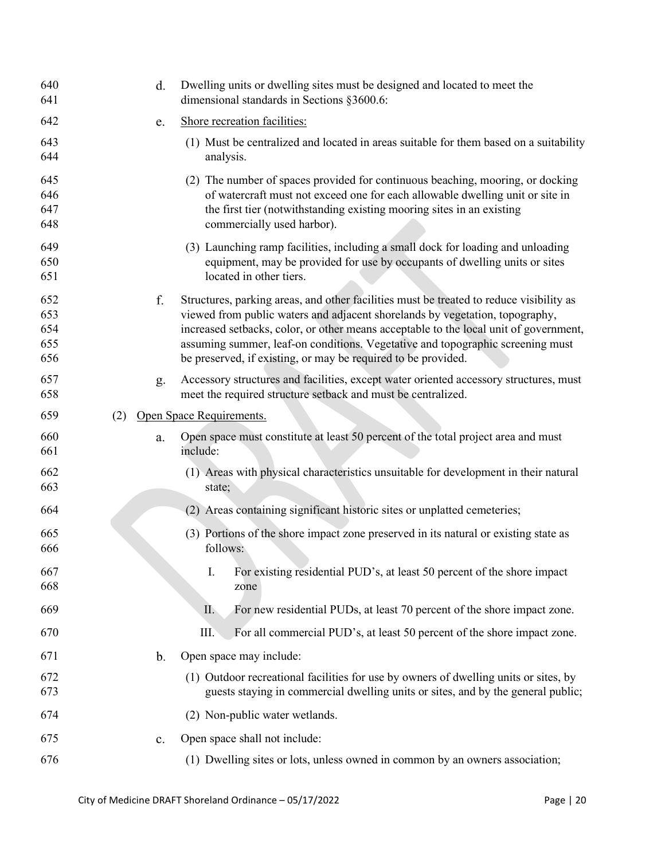| 640<br>641                      |     | d. | Dwelling units or dwelling sites must be designed and located to meet the<br>dimensional standards in Sections §3600.6:                                                                                                                                                                                                                                                                                             |
|---------------------------------|-----|----|---------------------------------------------------------------------------------------------------------------------------------------------------------------------------------------------------------------------------------------------------------------------------------------------------------------------------------------------------------------------------------------------------------------------|
| 642                             |     | e. | Shore recreation facilities:                                                                                                                                                                                                                                                                                                                                                                                        |
| 643<br>644                      |     |    | (1) Must be centralized and located in areas suitable for them based on a suitability<br>analysis.                                                                                                                                                                                                                                                                                                                  |
| 645<br>646<br>647<br>648        |     |    | (2) The number of spaces provided for continuous beaching, mooring, or docking<br>of watercraft must not exceed one for each allowable dwelling unit or site in<br>the first tier (notwithstanding existing mooring sites in an existing<br>commercially used harbor).                                                                                                                                              |
| 649<br>650<br>651               |     |    | (3) Launching ramp facilities, including a small dock for loading and unloading<br>equipment, may be provided for use by occupants of dwelling units or sites<br>located in other tiers.                                                                                                                                                                                                                            |
| 652<br>653<br>654<br>655<br>656 |     | f. | Structures, parking areas, and other facilities must be treated to reduce visibility as<br>viewed from public waters and adjacent shorelands by vegetation, topography,<br>increased setbacks, color, or other means acceptable to the local unit of government,<br>assuming summer, leaf-on conditions. Vegetative and topographic screening must<br>be preserved, if existing, or may be required to be provided. |
| 657<br>658                      |     | g. | Accessory structures and facilities, except water oriented accessory structures, must<br>meet the required structure setback and must be centralized.                                                                                                                                                                                                                                                               |
| 659                             | (2) |    | Open Space Requirements.                                                                                                                                                                                                                                                                                                                                                                                            |
|                                 |     |    |                                                                                                                                                                                                                                                                                                                                                                                                                     |
| 660<br>661                      |     | a. | Open space must constitute at least 50 percent of the total project area and must<br>include:                                                                                                                                                                                                                                                                                                                       |
| 662<br>663                      |     |    | (1) Areas with physical characteristics unsuitable for development in their natural<br>state;                                                                                                                                                                                                                                                                                                                       |
| 664                             |     |    | (2) Areas containing significant historic sites or unplatted cemeteries;                                                                                                                                                                                                                                                                                                                                            |
| 665<br>666                      |     |    | (3) Portions of the shore impact zone preserved in its natural or existing state as<br>follows:                                                                                                                                                                                                                                                                                                                     |
| 667<br>668                      |     |    | I.<br>For existing residential PUD's, at least 50 percent of the shore impact<br>zone                                                                                                                                                                                                                                                                                                                               |
| 669                             |     |    | II.<br>For new residential PUDs, at least 70 percent of the shore impact zone.                                                                                                                                                                                                                                                                                                                                      |
| 670                             |     |    | For all commercial PUD's, at least 50 percent of the shore impact zone.<br>Ш.                                                                                                                                                                                                                                                                                                                                       |
| 671                             |     | b. | Open space may include:                                                                                                                                                                                                                                                                                                                                                                                             |
| 672<br>673                      |     |    | (1) Outdoor recreational facilities for use by owners of dwelling units or sites, by<br>guests staying in commercial dwelling units or sites, and by the general public;                                                                                                                                                                                                                                            |
| 674                             |     |    | (2) Non-public water wetlands.                                                                                                                                                                                                                                                                                                                                                                                      |
| 675                             |     | c. | Open space shall not include:                                                                                                                                                                                                                                                                                                                                                                                       |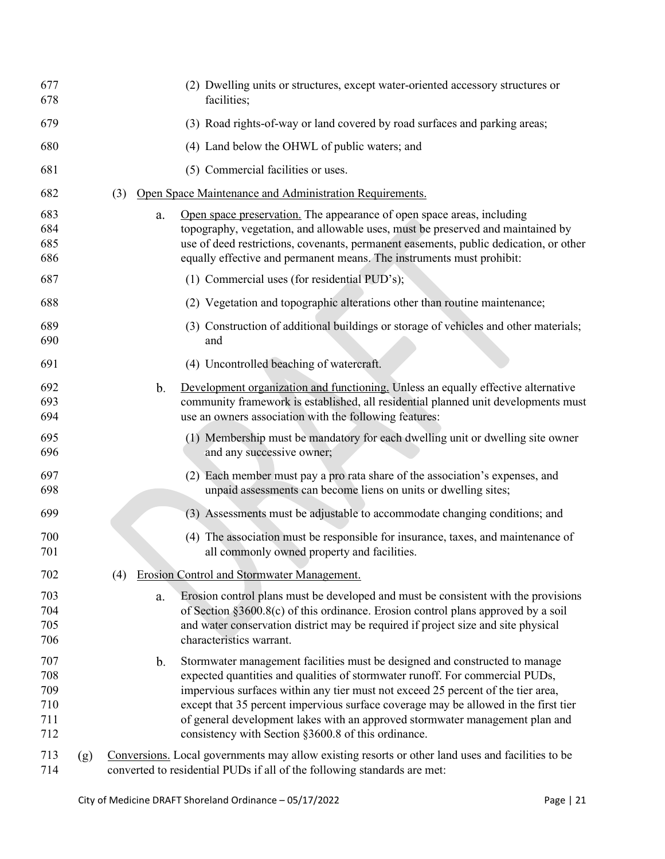| 677<br>678                             |     |     |               | (2) Dwelling units or structures, except water-oriented accessory structures or<br>facilities;                                                                                                                                                                                                                                                                                                                                                                                |
|----------------------------------------|-----|-----|---------------|-------------------------------------------------------------------------------------------------------------------------------------------------------------------------------------------------------------------------------------------------------------------------------------------------------------------------------------------------------------------------------------------------------------------------------------------------------------------------------|
| 679                                    |     |     |               | (3) Road rights-of-way or land covered by road surfaces and parking areas;                                                                                                                                                                                                                                                                                                                                                                                                    |
| 680                                    |     |     |               | (4) Land below the OHWL of public waters; and                                                                                                                                                                                                                                                                                                                                                                                                                                 |
| 681                                    |     |     |               | (5) Commercial facilities or uses.                                                                                                                                                                                                                                                                                                                                                                                                                                            |
| 682                                    |     | (3) |               | Open Space Maintenance and Administration Requirements.                                                                                                                                                                                                                                                                                                                                                                                                                       |
| 683<br>684<br>685<br>686               |     |     | a.            | Open space preservation. The appearance of open space areas, including<br>topography, vegetation, and allowable uses, must be preserved and maintained by<br>use of deed restrictions, covenants, permanent easements, public dedication, or other<br>equally effective and permanent means. The instruments must prohibit:                                                                                                                                                   |
| 687                                    |     |     |               | (1) Commercial uses (for residential PUD's);                                                                                                                                                                                                                                                                                                                                                                                                                                  |
| 688                                    |     |     |               | (2) Vegetation and topographic alterations other than routine maintenance;                                                                                                                                                                                                                                                                                                                                                                                                    |
| 689<br>690                             |     |     |               | (3) Construction of additional buildings or storage of vehicles and other materials;<br>and                                                                                                                                                                                                                                                                                                                                                                                   |
| 691                                    |     |     |               | (4) Uncontrolled beaching of watercraft.                                                                                                                                                                                                                                                                                                                                                                                                                                      |
| 692<br>693<br>694                      |     |     | $\mathbf b$ . | Development organization and functioning. Unless an equally effective alternative<br>community framework is established, all residential planned unit developments must<br>use an owners association with the following features:                                                                                                                                                                                                                                             |
| 695<br>696                             |     |     |               | (1) Membership must be mandatory for each dwelling unit or dwelling site owner<br>and any successive owner;                                                                                                                                                                                                                                                                                                                                                                   |
| 697<br>698                             |     |     |               | (2) Each member must pay a pro rata share of the association's expenses, and<br>unpaid assessments can become liens on units or dwelling sites;                                                                                                                                                                                                                                                                                                                               |
| 699                                    |     |     |               | (3) Assessments must be adjustable to accommodate changing conditions; and                                                                                                                                                                                                                                                                                                                                                                                                    |
| 700<br>701                             |     |     |               | (4) The association must be responsible for insurance, taxes, and maintenance of<br>all commonly owned property and facilities.                                                                                                                                                                                                                                                                                                                                               |
| 702                                    |     | (4) |               | <b>Erosion Control and Stormwater Management.</b>                                                                                                                                                                                                                                                                                                                                                                                                                             |
| 703<br>704<br>705<br>706               |     |     | a.            | Erosion control plans must be developed and must be consistent with the provisions<br>of Section §3600.8(c) of this ordinance. Erosion control plans approved by a soil<br>and water conservation district may be required if project size and site physical<br>characteristics warrant.                                                                                                                                                                                      |
| 707<br>708<br>709<br>710<br>711<br>712 |     |     | $\mathbf b$ . | Stormwater management facilities must be designed and constructed to manage<br>expected quantities and qualities of stormwater runoff. For commercial PUDs,<br>impervious surfaces within any tier must not exceed 25 percent of the tier area,<br>except that 35 percent impervious surface coverage may be allowed in the first tier<br>of general development lakes with an approved stormwater management plan and<br>consistency with Section §3600.8 of this ordinance. |
| 713<br>714                             | (g) |     |               | Conversions. Local governments may allow existing resorts or other land uses and facilities to be<br>converted to residential PUDs if all of the following standards are met:                                                                                                                                                                                                                                                                                                 |